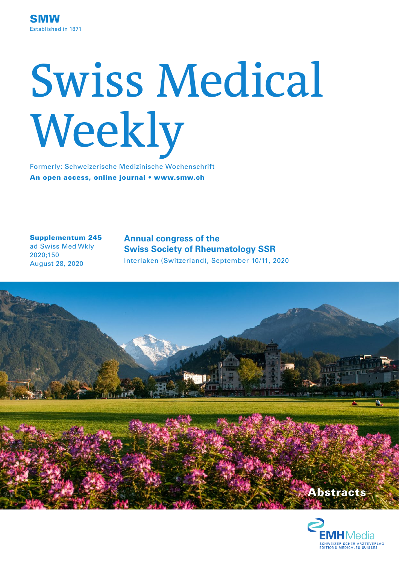# Swiss Medical Weekly

Formerly: Schweizerische Medizinische Wochenschrift An open access, online journal • www.smw.ch

Supplementum 245

ad Swiss Med Wkly 2020;150 August 28, 2020

**Annual congress of the Swiss Society of Rheumatology SSR** Interlaken (Switzerland), September 10/11, 2020



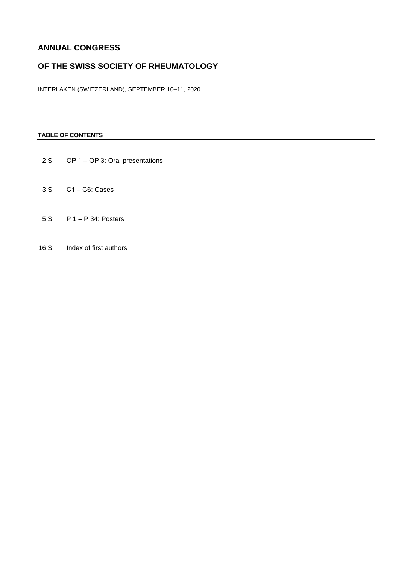# **ANNUAL CONGRESS**

# **OF THE SWISS SOCIETY OF RHEUMATOLOGY**

INTERLAKEN (SWITZERLAND), SEPTEMBER 10-11, 2020

# **TABLE OF CONTENTS**

- 2 S OP 1 OP 3: Oral presentations
- 3 S C1 ‒ C6: Cases
- 5 S P 1 ‒ P 34: Posters
- 16 S Index of first authors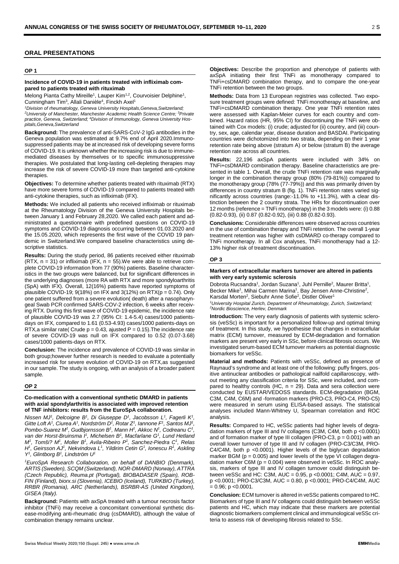### **ORAL PRESENTATIONS**

### **OP 1**

### **Incidence of COVID-19 in patients treated with infliximab compared to patients treated with rituximab**

Melong Pianta Cathy Mireille<sup>1</sup>, Lauper Kim<sup>1,2</sup>, Courvoisier Delphine<sup>1</sup>, Cunningham Tim<sup>3</sup>, Allali Danièle<sup>4</sup>, Finckh Axel<sup>1</sup>

*1Division of rheumatology, Geneva University Hospitals,Geneva,Switzerland;* 

*2University of Manchester, Manchester Academic Health Science Centre; 3Private practice, Geneva, Switzerland; 4 Division of Immunology, Geneva University Hospitals,Geneva,Switzerland*

**Background:** The prevalence of anti-SARS-CoV-2 IgG antibodies in the Geneva population was estimated at 9.7% end of April 2020.Immunosuppressed patients may be at increased risk of developing severe forms of COVID-19. It is unknown whether the increasing risk is due to immunemediated diseases by themselves or to specific immunosuppressive therapies. We postulated that long-lasting cell-depleting therapies may increase the risk of severe COVID-19 more than targeted anti-cytokine therapies.

**Objectives:** To determine whether patients treated with rituximab (RTX) have more severe forms of COVID-19 compared to patients treated with anti-cytokine therapies, such as infliximab (IFX).

**Methods:** We included all patients who received infliximab or rituximab at the Rheumatology Division of the Geneva University Hospitals between January 1 and February 28,2020. We called each patient and administrated a questionnaire with predefined questions on COVID-19 symptoms and COVID-19 diagnosis occurring between 01.03.2020 and the 15.05.2020, which represents the first wave of the COVID 19 pandemic in Switzerland.We compared baseline characteristics using descriptive statistics.

**Results:** During the study period, 86 patients received either rituximab  $(RTX, n = 31)$  or infliximab (IFX,  $n = 55$ ). We were able to retrieve complete COVID-19 information from 77 (90%) patients. Baseline characteristics in the two groups were balanced, but for significant differences in the underlying diagnoses (more RA with RTX and more spondyloarthritis (SpA) with IFX). Overall, 12(16%) patients have reported symptoms of plausible COVID-19;  $9(18%)$  on IFX and  $3(12%)$  on RTX( $p = 0.74$ ). Only one patient suffered from a severe evolution( death) after a nasopharyngeal Swab PCR confirmed SARS-COV-2 infection, 6 weeks after receiving RTX. During this first wave of COVID-19 epidemic, the incidence rate of plausible COVID-19 was 2.7 (95% CI: 1.4-5.4) cases/1000 patientsdays on IFX, compared to 1.61 (0.53-4.93) cases/1000 patients-days on RTX,a similar rate( Crude  $p = 0.43$ , ajusted  $P = 0.15$ ). The incidence rate of severe COVID-19 was null on IFX compared to 0.52 (0.07-3.68) cases/1000 patients-days on RTX.

**Conclusion:** The incidence and prevalence of COVID-19 was similar in both group;however further research is needed to evaluate a potentially increased risk for severe evolution of COVID-19 on RTX,as suggested in our sample. The study is ongoing, with an analysis of a broader patient sample.

### **OP 2**

### **Co-medication with a conventional synthetic DMARD in patients with axial spondylarthritis is associated with improved retention of TNF inhibitors: results from the EuroSpA collaboration.**

Nissen MJ<sup>1</sup>, Delcoigne B<sup>1</sup>, Di Giuseppe D<sup>1</sup>, Jacobsson L<sup>1</sup>, Fagerli K<sup>1</sup>, *Gitte Loft A<sup>1</sup>, Ciurea A<sup>1</sup>, Nordström D<sup>1</sup>, Rotar Z<sup>1</sup>, Iannone F<sup>1</sup>, Santos MJ<sup>1</sup>, Pombo-Suarez M1 , Gudbjornsson B1 , Mann H1 , Akkoc N1 , Codreanu C1 ,*  van der Horst-Bruinsma I<sup>1</sup>, Michelsen B<sup>1</sup>, Macfarlane G<sup>1</sup>, Lund Hetland *M*<sup>1</sup>, Tomši? *M*<sup>1</sup>, Moller B<sup>1</sup>, Avila-Ribeiro P<sup>1</sup>, Sanchez-Piedra C<sup>1</sup>, Relas *H*<sup>1</sup>, Geirsson AJ<sup>1</sup>, Nekvindova L<sup>1</sup>, Yildirim Cetin G<sup>1</sup>, Ionescu R<sup>1</sup>, Askling *Y1 , Glintborg B1 , Lindström U1*

*1 EuroSpA Research Collaboration, on behalf of DANBIO (Denmark), ARTIS (Sweden), SCQM (Switzerland), NOR-DMARD (Norway), ATTRA (Czech Republic), Reuma.pt (Portugal), BIOBADASER (Spain), ROB-FIN (Finland), biorx.si (Slovenia), ICEBIO (Iceland), TURKBIO (Turkey), RRBR (Romania), ARC (Netherlands), BSRBR-AS (United Kingdom), GISEA (Italy).*

**Background:** Patients with axSpA treated with a tumour necrosis factor inhibitor (TNFi) may receive a concomitant conventional synthetic disease-modifying anti-rheumatic drug (csDMARD), although the value of combination therapy remains unclear.

**Objectives:** Describe the proportion and phenotype of patients with axSpA initiating their first TNFi as monotherapy compared to TNFi+csDMARD combination therapy, and to compare the one-year TNFi retention between the two groups.

**Methods:** Data from 13 European registries was collected. Two exposure treatment groups were defined: TNFi monotherapy at baseline, and TNFi+csDMARD combination therapy. One year TNFi retention rates were assessed with Kaplan-Meier curves for each country and combined. Hazard ratios (HR, 95% CI) for discontinuing the TNFi were obtained with Cox models: (i) crude; adjusted for (ii) country, and (iii) country, sex, age, calendar year, disease duration and BASDAI. Participating countries were dichotomized into two strata, depending on their 1 year retention rate being above (stratum A) or below (stratum B) the average retention rate across all countries.

**Results:** 22,196 axSpA patients were included with 34% on TNFi+csDMARD combination therapy. Baseline characteristics are presented in table 1. Overall, the crude TNFi retention rate was marginally longer in the combination therapy group (80% (79-81%)) compared to the monotherapy group (78% (77-79%)) and this was primarily driven by differences in country stratum B (fig. 1). TNFi retention rates varied significantly across countries (range:-11.0% to +11.3%), with a clear distinction between the 2 country strata. The HRs for discontinuation over 12 months (reference = TNFi monotherapy) in the 3 models were: (i) 0.88 (0.82-0.93), (ii) 0.87 (0.82-0.92), (iii) 0.88 (0.82-0.93).

**Conclusions:** Considerable differences were observed across countries in the use of combination therapy and TNFi retention. The overall 1-year treatment retention was higher with csDMARD co-therapy compared to TNFi monotherapy. In all Cox analyses, TNFi monotherapy had a 12- 13% higher risk of treatment discontinuation.

### **OP 3**

### **Markers of extracellular markers turnover are altered in patients with very early systemic sclerosis**

Dobrota Rucsandra<sup>1</sup>, Jordan Suzana<sup>1</sup>, Juhl Pernille<sup>2</sup>, Maurer Britta<sup>1</sup>, Becker Mike<sup>1</sup>, Mihai Carmen Marina<sup>1</sup>, Bay Jensen Anne-Christine<sup>2</sup>, Karsdal Morten<sup>2</sup>, Siebuhr Anne Sofie<sup>2</sup>, Distler Oliver<sup>1</sup>

*1University Hospital Zurich, Department of Rheumatology, Zurich, Switzerland; 2Nordic Bioscience, Herlev, Denmark*

**Introduction:** The very early diagnosis of patients with systemic sclerosis (veSSc) is important for a personalized follow-up and optimal timing of treatment. In this study, we hypothesise that changes in extracellular matrix (ECM) turnover, measured by ECM-degradation and formation markers are present very early in SSc, before clinical fibrosis occurs. We investigated serum-based ECM turnover markers as potential diagnostic biomarkers for veSSc.

**Material and methods:** Patients with veSSc, defined as presence of Raynaud's syndrome and at least one of the following: puffy fingers, positive antinuclear antibodies or pathological nailfold capillaroscopy, without meeting any classification criteria for SSc, were included, and compared to healthy controls (HC,  $n = 29$ ). Data and sera collection were conducted by EUSTAR/VEDOSS standards. ECM-degradation (BGM, C3M, C4M, C6M) and -formation markers (PRO-C3, PRO-C4, PRO-C5) were measured in serum using ELISA-based assays. The statistical analyses included Mann-Whitney U, Spearman correlation and ROC analysis.

**Results:** Compared to HC, veSSc patients had higher levels of degradation markers of type III and IV collagens (C3M, C4M, both p <0.0001) and of formation marker of type III collagen (PRO-C3,  $p = 0.001$ ) with an overall lower turnover of type III and IV collagen (PRO-C3/C3M, PRO-C4/C4M, both p <0.0001). Higher levels of the biglycan degradation marker BGM ( $p = 0.005$ ) and lower levels of the type VI collagen degradation marker C6M ( $p = 0.004$ ) were observed in veSSc. In ROC analysis, markers of type III and IV collagen turnover could distinguish between veSSc and HC: C3M, AUC = 0.95, p <0.0001; C4M, AUC = 0.97, p <0.0001; PRO-C3/C3M, AUC = 0.80, p <0.0001; PRO-C4/C4M, AUC  $= 0.96$ ; p < 0.0001.

**Conclusion:** ECM turnover is altered in veSSc patients compared to HC. Biomarkers of type III and IV collagens could distinguish between veSSc patients and HC, which may indicate that these markers are potential diagnostic biomarkers complement clinical and immunological veSSc criteria to assess risk of developing fibrosis related to SSc.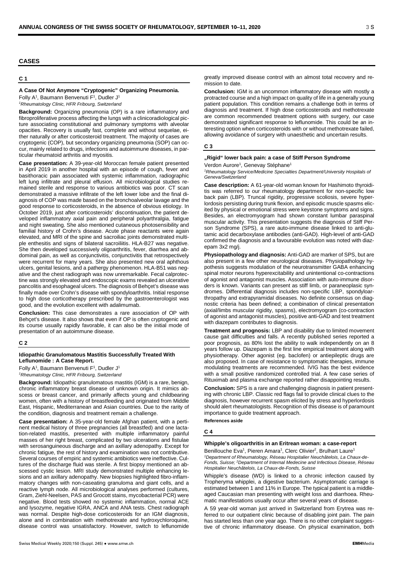### **CASES**

### **C 1**

### **A Case Of Not Anymore "Cryptogenic" Organizing Pneumonia.**

Folly A<sup>1</sup>, Baumann Benvenuti F<sup>1</sup>, Dudler J<sup>1</sup>

*1Rheumatology Clinic, HFR Fribourg, Switzerland*

**Background:** Organizing pneumonia (OP) is a rare inflammatory and fibroproliferative process affecting the lungs with a clinicoradiological picture associating constitutional and pulmonary symptoms with alveolar opacities. Recovery is usually fast, complete and without sequelae, either naturally or after corticosteroid treatment. The majority of cases are cryptogenic (COP), but secondary organizing pneumonia (SOP) can occur, mainly related to drugs, infections and autoimmune diseases, in particular rheumatoid arthritis and myositis.

**Case presentation:** A 39-year-old Moroccan female patient presented in April 2019 in another hospital with an episode of cough, fever and basithoracic pain associated with systemic inflammation, radiographic left lung infiltrate and pleural effusion. All microbiological studies remained sterile and response to various antibiotics was poor. CT scan demonstrated a massive infiltrate of the left lower lobe and the final diagnosis of COP was made based on the bronchoalveolar lavage and the good response to corticosteroids, in the absence of obvious etiology. In October 2019, just after corticosteroids' discontinuation, the patient developed inflammatory axial pain and peripheral polyarthralgia, fatigue and night sweating. She also mentioned cutaneous photosensibility and familial history of Crohn's disease. Acute phase reactants were again elevated, and MRI of the spine and sacroiliac joints demonstrated multiple enthesitis and signs of bilateral sacroiliitis. HLA-B27 was negative. She then developed successively oligoarthritis, fever, diarrhea and abdominal pain, as well as conjunctivitis, conjunctivitis that retrospectively were recurrent for many years. She also presented new oral aphthous ulcers, genital lesions, and a pathergy phenomenon. HLA-B51 was negative and the chest radiograph was now unremarkable. Fecal calprotectine was strongly elevated and endoscopic exams revealed an ulcerative pancolitis and esophageal ulcers. The diagnosis of Behçet's disease was finally made over Crohn's disease with spondyloarthritis. Initial response to high dose corticotherapy prescribed by the gastroenterologist was good, and the evolution excellent with adalimumab.

**Conclusion:** This case demonstrates a rare association of OP with Behçet's disease. It also shows that even if OP is often cryptogenic and its course usually rapidly favorable, it can also be the initial mode of presentation of an autoimmune disease.

### **C 2**

### **Idiopathic Granulomatous Mastitis Successfully Treated With Leflunomide : A Case Report.**

Folly A<sup>1</sup>, Baumann Benvenuti F<sup>1</sup>, Dudler J<sup>1</sup>

*1Rheumatology Clinic, HFR Fribourg, Switzerland*

**Background:** Idiopathic granulomatous mastitis (IGM) is a rare, benign, chronic inflammatory breast disease of unknown origin. It mimics abscess or breast cancer, and primarily affects young and childbearing women, often with a history of breastfeeding and originated from Middle East, Hispanic, Mediterranean and Asian countries. Due to the rarity of the condition, diagnosis and treatment remain a challenge.

**Case presentation:** A 35-year-old female Afghan patient, with a pertinent medical history of three pregnancies (all breastfed) and one lactation-related mastitis, presented with multiple inflammatory painful masses of her right breast, complicated by two ulcerations and fistulae with serosanguineous discharge and an axillary adenopathy. Except for chronic fatigue, the rest of history and examination was not contributive. Several courses of empiric and systemic antibiotics were ineffective. Cultures of the discharge fluid was sterile. A first biopsy mentioned an abscessed cystic lesion. MRI study demonstrated multiple enhancing lesions and an axillary adenopathy. New biopsies highlighted fibro-inflammatory changes with non-caseating granuloma and giant cells, and a reactive lymph node. All microbiological analyses performed (cultures, Gram, Ziehl-Neelsen, PAS and Grocott stains, mycobacterial PCR) were negative. Blood tests showed no systemic inflammation, normal ACE and lysozyme, negative IGRA, ANCA and ANA tests. Chest radiograph was normal. Despite high-dose corticosteroids for an IGM diagnosis, alone and in combination with methotrexate and hydroxychloroquine, disease control was unsatisfactory. However, switch to leflunomide

greatly improved disease control with an almost total recovery and remission to date.

**Conclusion:** IGM is an uncommon inflammatory disease with mostly a protracted course and a high impact on quality of life in a generally young patient population. This condition remains a challenge both in terms of diagnosis and treatment. If high dose corticosteroids and methotrexate are common recommended treatment options with surgery, our case demonstrated significant response to leflunomide. This could be an interesting option when corticosteroids with or without methotrexate failed, allowing avoidance of surgery with unaesthetic and uncertain results.

### **C 3**

### **"Rigid" lower back pain: a case of Stiff Person Syndrome**

Verdon Aurore<sup>1</sup>, Genevay Stéphane<sup>1</sup>

<sup>1</sup> Rheumatology Service/Medicine Specialties Department/University Hospitals of *Geneva/Switzerland*

**Case description:** A 61-year-old woman known for Hashimoto thyroiditis was referred to our rheumatology department for non-specific low back pain (LBP). Truncal rigidity, progressive scoliosis, severe hyperlordosis persisting during trunk flexion, and episodic muscle spasms elicited by physical or emotional stress were keystone symptoms and signs. Besides, an electromyogram had shown constant lumbar paraspinal muscular activity. This presentation suggests the diagnosis of Stiff Person Syndrome (SPS), a rare auto-immune disease linked to anti-glutamic acid decarboxylase antibodies (anti-GAD). High-level of anti-GAD confirmed the diagnosis and a favourable evolution was noted with diazepam 3x2 mg/j.

**Physiopathology and diagnosis:** Anti-GAD are marker of SPS, but are also present in a few other neurological diseases. Physiopathology hypothesis suggests modulation of the neurotransmitter GABA enhancing spinal motor neurons hyperexcitability and unintentional co-contractions of agonist and antagonist muscles. Association with auto-immune disorders is known. Variants can present as stiff limb, or paraneoplasic syndromes. Differential diagnosis includes non-specific LBP, spondyloarthropathy and extrapyramidal diseases. No definite consensus on diagnostic criteria has been defined; a combination of clinical presentation (axial/limbs muscular rigidity, spasms), electromyogram (co-contraction of agonist and antagonist muscles), positive anti-GAD and test treatment with diazepam contributes to diagnosis.

**Treatment and prognosis:** LBP and disability due to limited movement cause gait difficulties and falls. A recently published series reported a poor prognosis, as 80% lost the ability to walk independently on an 8 years follow up. Diazepam is the first line empirical treatment along with physiotherapy. Other agonist (eg. baclofen) or antiepileptic drugs are also proposed. In case of resistance to symptomatic therapies, immune modulating treatments are recommended. IVIG has the best evidence with a small positive randomized controlled trial. A few case series of Rituximab and plasma exchange reported rather disappointing results.

**Conclusion:** SPS is a rare and challenging diagnosis in patient presenting with chronic LBP. Classic red flags fail to provide clinical clues to the diagnosis, however recurrent spasm elicited by stress and hyperlordosis should alert rheumatologists. Recognition of this disease is of paramount importance to guide treatment approach.

**References aside**

### **C 4**

### **Whipple's oligoarthritis in an Eritrean woman: a case-report**

Benillouche Eva<sup>1</sup>, Pieren Amara<sup>1</sup>, Clerc Olivier<sup>2</sup>, Brulhart Laure<sup>1</sup>

*1 Department of Rheumatology, Réseau Hospitalier Neuchâtelois, La Chaux-de-Fonds, Suisse; 2Department of Internal Medecine and Infectious Disease, Réseau Hospitalier Neuchâtelois, La Chaux-de-Fonds, Suisse*

Whipple's disease (WD) is linked to a chronic infection caused by Tropheryma whipplei, a digestive bacterium. Asymptomatic carriage is estimated between 1 and 11% in Europe. The typical patient is a middleaged Caucasian man presenting with weight loss and diarrhoea. Rheumatic manifestations usually occur after several years of disease.

A 59 year-old woman just arrived in Switzerland from Erytrea was referred to our outpatient clinic because of disabling joint pain. The pain has started less than one year ago. There is no other complaint suggestive of chronic inflammatory disease. On physical examination, both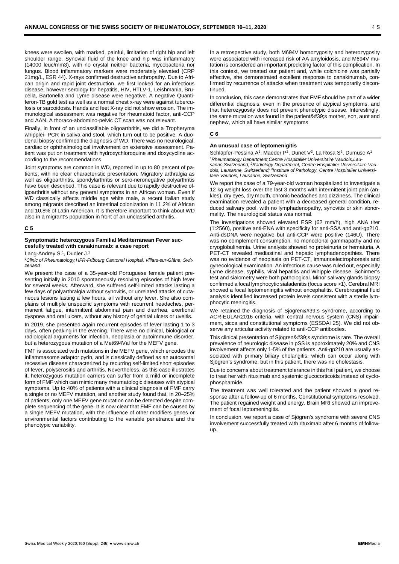knees were swollen, with marked, painful, limitation of right hip and left shoulder range. Synovial fluid of the knee and hip was inflammatory (14000 leuc/mm3), with no crystal neither bacteria, mycobacteria nor fungus. Blood inflammatory markers were moderately elevated (CRP 21mg/L, ESR 44). X-rays confirmed destructive arthropathy. Due to African origin and rapid joint destruction, we first looked for an infectious disease, however serology for hepatitis, HIV, HTLV-1, Leishmania, Brucella, Bartonella and Lyme disease were negative. A negative Quantiferon-TB gold test as well as a normal chest x-ray were against tuberculosis or sarcoidosis. Hands and feet X-ray did not show erosion. The immunological assessment was negative for rheumatoid factor, anti-CCP and AAN. A thoraco-abdomino-pelvic CT scan was not relevant.

Finally, in front of an unclassifiable oligoarthritis, we did a Tropheryma whipplei- PCR in saliva and stool, which turn out to be positive. A duodenal biopsy confirmed the diagnosis of WD. There was no neurological, cardiac or ophthalmological involvement on extensive assessment. Patient was put on treatment with hydroxychloroquine and doxycycline according to the recommendations.

Joint symptoms are common in WD, reported in up to 80 percent of patients, with no clear characteristic presentation. Migratory arthralgia as well as oligoarthritis, spondylarthritis or sero-neronegative polyarthritis have been described. This case is relevant due to rapidly destructive oligoarthritis without any general symptoms in an African woman. Even if WD classically affects middle age white male, a recent Italian study among migrants described an intestinal colonization in 11.2% of African and 10.8% of Latin American. It is therefore important to think about WD also in a migrant's population in front of an unclassified arthritis.

### **C 5**

### **Symptomatic heterozygous Familial Mediterranean Fever succesfully treated with canakinumab: a case report**

Lang-Andrey S.<sup>1</sup>, Dudler J.<sup>1</sup>

*1Clinic of Rheumatology,HFR-Fribourg Cantonal Hospital, Villars-sur-Glâne, Switzerland*

We present the case of a 35-year-old Portuguese female patient presenting initially in 2010 spontaneously resolving episodes of high fever for several weeks. Afterward, she suffered self-limited attacks lasting a few days of polyarthralgia without synovitis, or unrelated attacks of cutaneous lesions lasting a few hours, all without any fever. She also complains of multiple unspecific symptoms with recurrent headaches, permanent fatigue, intermittent abdominal pain and diarrhea, exertional dyspnea and oral ulcers, without any history of genital ulcers or uveitis.

In 2019, she presented again recurrent episodes of fever lasting 1 to 3 days, often peaking in the evening. There were no clinical, biological or radiological arguments for infection, neoplasia or autoimmune disorder, but a heterozygous mutation of a Met694Val for the MEFV gene.

FMF is associated with mutations in the MEFV gene, which encodes the inflammasome adaptor pyrin, and is classically defined as an autosomal recessive disease characterized by recurring self-limited short episodes of fever, polyserositis and arthritis. Nevertheless, as this case illustrates it, heterozygous mutation carriers can suffer from a mild or incomplete form of FMF which can mimic many rheumatologic diseases with atypical symptoms. Up to 40% of patients with a clinical diagnosis of FMF carry a single or no MEFV mutation, and another study found that, in 20–25% of patients, only one MEFV gene mutation can be detected despite complete sequencing of the gene. It is now clear that FMF can be caused by a single MEFV mutation, with the influence of other modifiers genes or environmental factors contributing to the variable penetrance and the phenotypic variability.

In a retrospective study, both M694V homozygosity and heterozygosity were associated with increased risk of AA amyloidosis, and M694V mutation is considered an important predicting factor of this complication. In this context, we treated our patient and, while colchicine was partially effective, she demonstrated excellent response to canakinumab, confirmed by recurrence of attacks when treatment was temporarily discontinued.

In conclusion, this case demonstrates that FMF should be part of a wider differential diagnosis, even in the presence of atypical symptoms, and that heterozygosity does not prevent phenotypic disease. Interestingly, the same mutation was found in the patient's mother, son, aunt and nephew, which all have similar symptoms

### **C 6**

### **An unusual case of leptomenigitis**

Schläpfer-Pessina A<sup>1</sup>, Maeder P<sup>2</sup>, Dunet V<sup>2</sup>, La Rosa S<sup>3</sup>, Dumusc A<sup>1</sup> *1 Rheumatology Department,Centre Hospitalier Universitaire Vaudois,Lausanne,Switzerland; <sup>2</sup> Radiology Department, Centre Hospitalier Universitaire Vaudois, Lausanne, Switzerland; 3Institute of Pathology, Centre Hospitalier Universitaire Vaudois, Lausanne, Switzerland*

We report the case of a 79-year-old woman hospitalized to investigate a 12 kg weight loss over the last 3 months with intermittent joint pain (ankles), dry eyes, dry mouth, chronic headaches and dizziness. The clinical examination revealed a patient with a decreased general condition, reduced salivary pool, with no lymphadenopathy, synovitis or skin abnormality. The neurological status was normal.

The investigations showed elevated ESR (62 mm/h), high ANA titer (1:2560), positive anti-ENA with specificity for anti-SSA and anti-gp210. Anti-dsDNA were negative but anti-CCP were positive (146U). There was no complement consumption, no monoclonal gammapathy and no cryoglobulinemia. Urine analysis showed no proteinuria or hematuria. A PET-CT revealed mediastinal and hepatic lymphadenopathies. There was no evidence of neoplasia on PET-CT, immunoelectrophoresis and gynecological examination. An infectious cause was ruled out, especially Lyme disease, syphilis, viral hepatitis and Whipple disease. Schirmer's test and sialometry were both pathological. Minor salivary glands biopsy confirmed a focal lymphocytic sialadenitis (focus score >1). Cerebral MRI showed a focal leptomeningitis without encephalitis. Cerebrospinal fluid analysis identified increased protein levels consistent with a sterile lymphocytic meningitis.

We retained the diagnosis of Sjögren's syndrome, according to ACR-EULAR2016 criteria, with central nervous system (CNS) impairment, sicca and constitutional symptoms (ESSDAI 25). We did not observe any articular activity related to anti-CCP antibodies.

This clinical presentation of Sjögren's syndrome is rare. The overall prevalence of neurologic disease in pSS is approximately 20% and CNS involvement affects only 1-5% of the patients. Anti-gp210 are usually associated with primary biliary cholangitis, which can occur along with Sjögren's syndrome, but in this patient, there was no cholestasis.

Due to concerns about treatment tolerance in this frail patient, we choose to treat her with rituximab and systemic glucocorticoids instead of cyclophosphamide.

The treatment was well tolerated and the patient showed a good response after a follow-up of 6 months. Constitutional symptoms resolved. The patient regained weight and energy. Brain MRI showed an improvement of focal leptomeningitis.

In conclusion, we report a case of Sjögren's syndrome with severe CNS involvement successfully treated with rituximab after 6 months of followup.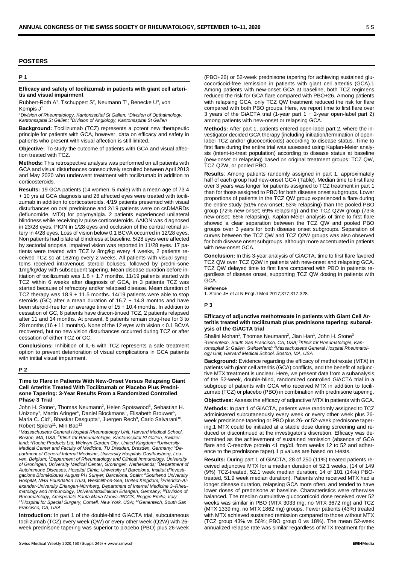### **POSTERS**

## **P 1**

### **Efficacy and safety of tocilizumab in patients with giant cell arteritis and visual impairment**

Rubbert-Roth  $A^1$ , Tschuppert S<sup>2</sup>, Neumann T<sup>1</sup>, Benecke U<sup>3</sup>, von Kempis J<sup>1</sup>

<sup>1</sup>Division of Rheumatology, Kantonsspital St Gallen; <sup>2</sup>Division of Opthalmology,<br>Kantonsspital St Gallen; <sup>3</sup>Division of Angiology, Kantonsspital St Gallen

**Background:** Tocilizumab (TCZ) represents a potent new therapeutic principle for patients with GCA, however, data on efficacy and safety in patients who present with visual affection is still limited.

**Objective:** To study the outcome of patients with GCA and visual affection treated with TCZ.

**Methods:** This retrospective analysis was performed on all patients with GCA and visual disturbances consecutively recruited between April 2013 and May 2020 who underwent treatment with tocilizumab in addition to corticosteroids.

**Results:** 19 GCA patients (14 women, 5 male) with a mean age of 73.4 + 10 yrs at GCA diagnosis and 28 affected eyes were treated with tocilizumab in addition to corticosteroids. 4/19 patients presented with visual disturbances on oral prednisone and 2/19 patients were on csDMARDs (leflunomide, MTX) for polymyalgia. 2 patients experienced unilateral blindness while receiving iv pulse corticosteroids. AAION was diagnosed in 23/28 eyes, PION in 1/28 eyes and occlusion of the central retinal artery in 4/28 eyes. Loss of vision below 0.1 BCVA occurred in 12/28 eyes. Non patients had bilateral blindness at baseline. 5/28 eyes were affected by sectorial anopsia, impaired vision was reported in 11/28 eyes. 17 patients were treated with TCZ iv 8mg/kg every 4 weeks, 2 patients received TCZ sc at 162mg every 2 weeks. All patients with visual symptoms received intravenous steroid boluses, followed by predni-sone 1mg/kg/day with subsequent tapering. Mean disease duration before initiation of tocilizumab was  $1.8 + 1.7$  months. 11/19 patients started with TCZ within 6 weeks after diagnosis of GCA, in 3 patients TCZ was started because of refractory and/or relapsed disease. Mean duration of TCZ therapy was 18.9 + 11.5 months. 14/19 patients were able to stop steroids (GC) after a mean duration of  $16.7 + 14.8$  months and have been steroid-free for an average time of 15 + 10.4 months. In addition to cessation of GC, 8 patients have discon-tinued TCZ, 2 patients relapsed after 11 and 14 months. At present, 6 patients remain drug-free for 3 to 28 months (16 + 11 months). None of the 12 eyes with vision < 0.1 BCVA recovered, but no new vision disturbances occurred during TCZ or after cessation of either TCZ or GC.

**Conclusions:** Inhibition of IL-6 with TCZ represents a safe treatment option to prevent deterioration of visual complications in GCA patients with initial visual impairment.

### **P 2**

**Time to Flare in Patients With New-Onset Versus Relapsing Giant Cell Arteritis Treated With Tocilizumab or Placebo Plus Prednisone Tapering: 3-Year Results From a Randomized Controlled Phase 3 Trial**

John H. Stone<sup>1</sup>, Thomas Neumann<sup>2</sup>, Helen Spotswood<sup>3</sup>, Sebastian H. Unizony<sup>1</sup>, Martin Aringer<sup>4</sup>, Daniel Blockmans<sup>5</sup>, Elisabeth Brouwer<sup>6</sup>, Maria C. Cid<sup>7</sup>, Bhaskar Dasgupta<sup>8</sup>, Juergen Rech<sup>9</sup>, Carlo Salvarani<sup>10</sup>, Robert Spiera<sup>11</sup>, Min Bao<sup>12</sup>

*1Massachusetts General Hospital Rheumatology Unit, Harvard Medical School, Boston, MA, USA; 2Klinik für Rheumatologie, Kantonsspital St Gallen, Switzerland; 3Roche Products Ltd, Welwyn Garden City, United Kingdom; 4University Medical Center and Faculty of Medicine, TU Dresden, Dresden, Germany; 5De*partment of General Internal Medicine, University Hospitals Gasthuisberg, Leu-<br>ven, Belgium; <sup>6</sup>Department of Rheumatology and Clinical Immunology, University *of Groningen, University Medical Center, Groningen, Netherlands; 7Department of Autoimmune Diseases, Hospital Clínic, University of Barcelona, Institut d'Investigacions Biomèdiques August Pi i Sunyer, Barcelona, Spain; 8Southend University Hospital, NHS Foundation Trust, Westcliff-on-Sea, United Kingdom; <sup>9</sup> Friedrich-Alexander-University Erlangen-Nürnberg, Department of Internal Medicine 3–Rheumatology and Immunology, Universitätsklinikum Erlangen, Germany; 10Division of* Rheumatology, Arcispedale Santa Maria Nuova-IRCCS, Reggio Emilia, Italy;<br><sup>11</sup>Hospital for Special Surgery, Cornell, New York, USA; <sup>12</sup>Genentech, South San *Francisco, CA, USA*

**Introduction:** In part 1 of the double-blind GiACTA trial, subcutaneous tocilizumab (TCZ) every week (QW) or every other week (Q2W) with 26 week prednisone tapering was superior to placebo (PBO) plus 26-week (PBO+26) or 52-week prednisone tapering for achieving sustained glucocorticoid-free remission in patients with giant cell arteritis (GCA).1 Among patients with new-onset GCA at baseline, both TCZ regimens reduced the risk for GCA flare compared with PBO+26. Among patients with relapsing GCA, only TCZ QW treatment reduced the risk for flare compared with both PBO groups. Here, we report time to first flare over 3 years of the GiACTA trial (1-year part 1 + 2-year open-label part 2) among patients with new-onset or relapsing GCA.

**Methods:** After part 1, patients entered open-label part 2, where the investigator decided GCA therapy (including initiation/termination of openlabel TCZ and/or glucocorticoids) according to disease status. Time to first flare during the entire trial was assessed using Kaplan-Meier analysis (intent-to-treat population) according to disease status at baseline (new-onset or relapsing) based on original treatment groups: TCZ QW, TCZ Q2W, or pooled PBO.

**Results**: Among patients randomly assigned in part 1, approximately half of each group had new-onset GCA (Table). Median time to first flare over 3 years was longer for patients assigned to TCZ treatment in part 1 than for those assigned to PBO for both disease onset subgroups. Lower proportions of patients in the TCZ QW group experienced a flare during the entire study (51% new-onset; 53% relapsing) than the pooled PBO group (72% new-onset; 69% relapsing) and the TCZ Q2W group (73% new-onset; 65% relapsing). Kaplan-Meier analysis of time to first flare showed a clear separation between the TCZ QW and pooled PBO groups over 3 years for both disease onset subgroups. Separation of curves between the TCZ QW and TCZ Q2W groups was also observed for both disease onset subgroups, although more accentuated in patients with new-onset GCA

**Conclusion:** In this 3-year analysis of GiACTA, time to first flare favored TCZ QW over TCZ Q2W in patients with new-onset and relapsing GCA. TCZ QW delayed time to first flare compared with PBO in patients regardless of disease onset, supporting TCZ QW dosing in patients with GCA.

### **Reference**

1. Stone JH et al N Engl J Med 2017;377:317-328.

### **P 3**

### **Efficacy of adjunctive methotrexate in patients with Giant Cell Arteritis treated with tocilizumab plus prednisone tapering: subanalysis of the GiACTA trial**

Shalini Mohan<sup>1</sup>, Thomas Neumann<sup>2</sup>, Jian Han<sup>1</sup>, John H. Stone<sup>3</sup> *1Genentech, South San Francisco, CA, USA; 2Klinik für Rheumatologie, Kantonsspital St Gallen, Switzerland; 3Massachusetts General Hospital Rheumatology Unit, Harvard Medical School, Boston, MA, USA*

**Background:** Evidence regarding the efficacy of methotrexate (MTX) in patients with giant cell arteritis (GCA) conflicts, and the benefit of adjunctive MTX treatment is unclear. Here, we present data from a subanalysis of the 52-week, double-blind, randomized controlled GiACTA trial in a subgroup of patients with GCA who received MTX in addition to tocilizumab (TCZ) or placebo (PBO) in combination with prednisone tapering.

**Objectives:** Assess the efficacy of adjunctive MTX in patients with GCA.

**Methods:** In part 1 of GiACTA, patients were randomly assigned to TCZ administered subcutaneously every week or every other week plus 26 week prednisone tapering or PBO plus 26- or 52-week prednisone tapering.1 MTX could be initiated at a stable dose during screening and reduced or discontinued at the investigator's discretion. Efficacy was determined as the achievement of sustained remission (absence of GCA flare and C-reactive protein <1 mg/dL from weeks 12 to 52 and adherence to the prednisone taper).1 p values are based on t-tests.

**Results:** During part 1 of GiACTA, 28 of 250 (11%) treated patients received adjunctive MTX for a median duration of 52.1 weeks, (14 of 149 (9%) TCZ-treated, 52.1 week median duration; 14 of 101 (14%) PBOtreated, 51.9 week median duration). Patients who received MTX had a longer disease duration, relapsing GCA more often, and tended to have lower doses of prednisone at baseline. Characteristics were otherwise balanced. The median cumulative glucocorticoid dose received over 52 weeks was similar in PBO (MTX 3033 mg, no MTX 3672 mg) and TCZ (MTX 1339 mg, no MTX 1862 mg) groups. Fewer patients (43%) treated with MTX achieved sustained remission compared to those without MTX (TCZ group 43% vs 56%; PBO group 0 vs 18%). The mean 52-week annualized relapse rate was similar regardless of MTX treatment for the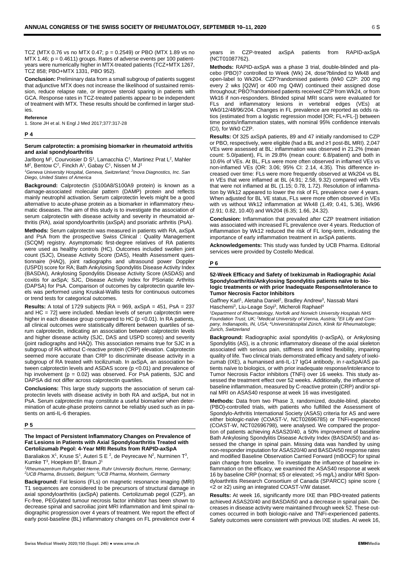TCZ (MTX 0.76 vs no MTX 0.47; p = 0.2549) or PBO (MTX 1.89 vs no  $MTX$  1.46;  $p = 0.4611$ ) groups. Rates of adverse events per 100 patientyears were numerically higher in MTX-treated patients (TCZ+MTX 1267, TCZ 858; PBO+MTX 1331, PBO 952).

**Conclusion:** Preliminary data from a small subgroup of patients suggest that adjunctive MTX does not increase the likelihood of sustained remission, reduce relapse rate, or improve steroid sparing in patients with GCA. Response rates in TCZ-treated patients appear to be independent of treatment with MTX. These results should be confirmed in larger studies.

# **Reference**

1. Stone JH et al. N Engl J Med 2017;377:317-28

### **P 4**

### **Serum calprotectin: a promising biomarker in rheumatoid arthritis and axial spondyloarthritis**

Jarlborg M<sup>1</sup>, Courvoisier D S<sup>1</sup>, Lamacchia C<sup>1</sup>, Martinez Prat L<sup>2</sup>, Mahler  $M^2$ , Bentow C<sup>2</sup>, Finckh A<sup>1</sup>, Gabay C<sup>1</sup>, Nissen M J<sup>1</sup>

*1Geneva University Hospital, Geneva, Switzerland; 2Inova Diagnostics, Inc. San Diego, United States of America*

**Background:** Calprotectin (S100A8/S100A9 protein) is known as a damage-associated molecular pattern (DAMP) protein and reflects mainly neutrophil activation. Serum calprotectin levels might be a good alternative to acute-phase protein as a biomarker in inflammatory rheumatic diseases. The aim of this study is to investigate the association of serum calprotectin with disease activity and severity in rheumatoid arthritis (RA), axial spondyloarthritis (axSpA) and psoriatic arthritis (PsA).

**Methods:** Serum calprotectin was measured in patients with RA, axSpA and PsA from the prospective Swiss Clinical : Quality Management (SCQM) registry. Asymptomatic first-degree relatives of RA patients were used as healthy controls (HC). Outcomes included swollen joint count (SJC), Disease Activity Score (DAS), Health Assessment questionnaire (HAQ), joint radiographs and ultrasound power Doppler (USPD) score for RA; Bath Ankylosing Spondylitis Disease Activity Index (BASDAI), Ankylosing Spondylitis Disease Activity Score (ASDAS) and coxitis for axSpA; SJC, Disease Activity Index for PSoriatic Arthritis (DAPSA) for PsA. Comparison of outcomes by calprotectin quartile levels was performed using Kruskal-Wallis tests for continuous outcomes or trend tests for categorical outcomes.

**Results:** A total of 1729 subjects [RA = 969, axSpA = 451, PsA = 237 and HC = 72] were included. Median levels of serum calprotectin were higher in each disease group compared to HC (p <0.01). In RA patients, all clinical outcomes were statistically different between quartiles of serum calprotectin, indicating an association between calprotectin levels and higher disease activity (SJC, DAS and USPD scores) and severity (joint radiographs and HAQ). This association remains true for SJC in a subgroup of RA without C-reactive protein (CRP) elevation. Calprotectin seemed more accurate than CRP to discriminate disease activity in a subgroup of RA treated with tocilizumab. In axSpA, an association between calprotectin levels and ASDAS score (p <0.01) and prevalence of hip involvement ( $p = 0.02$ ) was observed. For PsA patients, SJC and DAPSA did not differ across calprotectin quartiles.

**Conclusions:** This large study supports the association of serum calprotectin levels with disease activity in both RA and axSpA, but not in PsA. Serum calprotectin may constitute a useful biomarker when determination of acute-phase proteins cannot be reliably used such as in patients on anti-IL-6 therapies.

### **P 5**

### **The Impact of Persistent Inflammatory Changes on Prevalence of Fat Lesions in Patients with Axial Spondyloarthritis Treated with Certolizumab Pegol: 4-Year MRI Results from RAPID-axSpA**

Baraliakos X<sup>1</sup>, Kruse S<sup>1</sup>, Auteri S E <sup>2</sup>, de Peyrecave N<sup>2</sup>, Nurminen T<sup>3</sup>, Kumke T<sup>3</sup>, Hoepken B<sup>3</sup>, Braun J<sup>1</sup>

*1Rheumazentrum Ruhrgebiet Herne, Ruhr University Bochum, Herne, Germany; 2UCB Pharma, Brussels, Belgium; <sup>3</sup> UCB Pharma, Monheim, Germany*

**Background:** Fat lesions (FLs) on magnetic resonance imaging (MRI) T1 sequences are considered to be precursors of structural damage in axial spondyloarthritis (axSpA) patients. Certolizumab pegol (CZP), an Fc-free, PEGylated tumour necrosis factor inhibitor has been shown to decrease spinal and sacroiliac joint MRI inflammation and limit spinal radiographic progression over 4 years of treatment. We report the effect of early post-baseline (BL) inflammatory changes on FL prevalence over 4 years in CZP-treated axSpA patients from RAPID-axSpA (NCT01087762).

**Methods:** RAPID-axSpA was a phase 3 trial, double-blinded and placebo (PBO)? controlled to Week (Wk) 24, dose?blinded to Wk48 and open-label to Wk204. CZP?randomised patients (Wk0 CZP: 200 mg every 2 wks [Q2W] or 400 mg Q4W) continued their assigned dose throughout; PBO?randomised patients received CZP from Wk24, or from Wk16 if non-responders. Blinded spinal MRI scans were evaluated for FLs and inflammatory lesions in vertebral edges (VEs) at Wk0/12/48/96/204. Changes in FL prevalence are reported as odds ratios (estimated from a logistic regression model [OR; FL+/FL-]) between time points/inflammation states, with nominal 95% confidence intervals (CI), for Wk0 CZP.

**Results:** Of 325 axSpA patients, 89 and 47 initially randomised to CZP or PBO, respectively, were eligible (had a BL and ≥1 post-BL MRI). 2,047 VEs were assessed at BL: inflammation was observed in 21.2% (mean count: 5.0/patient), FL in 29.8% (mean count: 6.8/patient) and both in 10.6% of VEs. At BL, FLs were more often observed in inflamed VEs vs non-inflamed VEs (OR: 3.06; 95% CI: 2.14, 4.35). This difference increased over time: FLs were more frequently observed at Wk204 vs BL in VEs that were inflamed at BL (4.91; 2.58, 9.32) compared with VEs that were not inflamed at BL (1.15; 0.78, 1.72). Resolution of inflammation by Wk12 appeared to lower the risk of FL prevalence over 4 years. When adjusted for BL VE status, FLs were more often observed in VEs with vs without Wk12 inflammation at Wk48 (1.49; 0.41, 5.36), Wk96 (2.91; 0.82, 10.40) and Wk204 (6.35; 1.66, 24.32).

**Conclusion:** Inflammation that prevailed after CZP treatment initiation was associated with increased FL prevalence over 4 years. Reduction of inflammation by Wk12 reduced the risk of FL long-term, indicating the importance of early inflammation treatment in axSpA patients.

**Acknowledgements:** This study was funded by UCB Pharma. Editorial services were provided by Costello Medical.

### **P 6**

**52-Week Efficacy and Safety of Ixekizumab in Radiographic Axial Spondyloarthritis/Ankylosing Spondylitis patients naïve to biologic treatments or with prior Inadequate Response/Intolerance to Tumor Necrosis Factor Inhibitors**

Gaffney Karl<sup>1</sup>, Aletaha Daniel<sup>2</sup>, Bradley Andrew<sup>3</sup>, Nassab Mani Haschemi<sup>3</sup>, Liu-Leage Soyi<sup>3</sup>, Micheroli Raphael<sup>4</sup>

*1Department of Rheumatology, Norfolk and Norwich University Hospitals NHS Foundation Trust, UK; 2Medical University of Vienna, Austria; 3Eli Lilly and Company, Indianapolis, IN, USA; 4Universitätsspital Zürich, Klinik für Rheumatologie; Zurich, Switzerland*

**Background:** Radiographic axial spondylitis (r-axSpA), or Ankylosing Spondylitis (AS), is a chronic inflammatory disease of the axial skeleton associated with serious pain, stiffness and limited flexibility, impairing quality of life. Two clinical trials demonstrated efficacy and safety of ixekizumab (IXE), a humanised anti-IL-17 IgG4 antibody, in r-axSpA/AS patients naïve to biologics, or with prior inadequate response/intolerance to Tumor Necrosis Factor inhibitors (TNFi) over 16 weeks. This study assessed the treatment effect over 52 weeks. Additionally, the influence of baseline inflammation, measured by C-reactive protein (CRP) and/or spinal MRI on ASAS40 response at week 16 was investigated.

**Methods:** Data from two Phase 3, randomized, double-blind, placebo (PBO)-controlled trials, with patients who fulfilled the Assessment of Spondylo-Arthritis International Society (ASAS) criteria for AS and were either biologic-naïve (COAST-V, NCT02696785) or TNFi-experienced (COAST-W, NCT02696798), were analysed. We compared the proportion of patients achieving ASAS20/40, a 50% improvement of baseline Bath Ankylosing Spondylitis Disease Activity Index (BASDAI50) and assessed the change in spinal pain. Missing data was handled by using non-responder imputation for ASAS20/40 and BASDAI50 response rates and modified Baseline Observation Carried Forward (mBOCF) for spinal pain change from baseline. To investigate the influence of baseline inflammation on the efficacy, we examined the ASAS40 response at week 16 by baseline CRP (normal; ≤5 or elevated; >5 mg/L) and/or MRI Spondyloarthritis Research Consortium of Canada (SPARCC) spine score ( <2 or ≥2) using an integrated COAST-V/W dataset.

**Results:** At week 16, significantly more IXE than PBO-treated patients achieved ASAS20/40 and BASDAI50 and a decrease in spinal pain. Decreases in disease activity were maintained through week 52. These outcomes occurred in both biologic-naïve and TNFi-experienced patients. Safety outcomes were consistent with previous IXE studies. At week 16,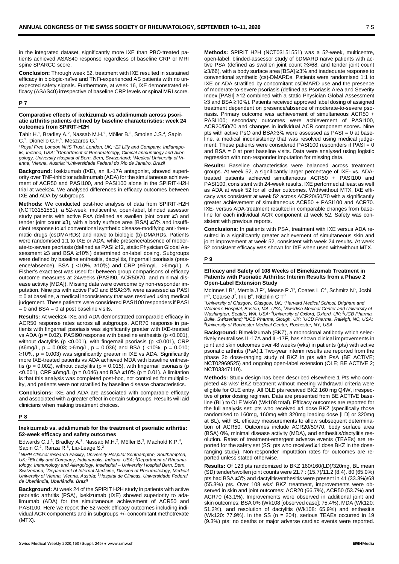in the integrated dataset, significantly more IXE than PBO-treated patients achieved ASAS40 response regardless of baseline CRP or MRI spine SPARCC score.

**Conclusion:** Through week 52, treatment with IXE resulted in sustained efficacy in biologic-naïve and TNFi-experienced AS patients with no unexpected safety signals. Furthermore, at week 16, IXE demonstrated efficacy (ASAS40) irrespective of baseline CRP levels or spinal MRI score.

### **P 7**

### **Comparative effects of ixekizumab vs adalimumab across psoriatic arthritis patients defined by baseline characteristics: week 24 outcomes from SPIRIT-H2H**

Tahir H.<sup>1</sup>, Bradley A.<sup>2</sup>, Nassab M.H.<sup>2</sup>, Möller B.<sup>3</sup>, Smolen J.S.<sup>4</sup>, Sapin C.<sup>2</sup>, Dionello C.F.<sup>5</sup>, Meszaros G.<sup>2</sup>

*1 Royal Free London NHS Trust, London, UK; <sup>2</sup> Eli Lilly and Company, Indianapolis, Indiana, USA; 3Department of Rheumatology, Clinical Immunology and Allergology, University Hospital of Bern, Bern, Switzerland; 4Medical University of Vienna, Vienna, Austria; 5Universidade Federal do Rio de Janeiro, Brazil*

**Background:** Ixekizumab (IXE), an IL-17A antagonist, showed superiority over TNF-inhibitor adalimumab (ADA) for the simultaneous achievement of ACR50 and PASI100, and PASI100 alone in the SPIRIT-H2H trial at week24. We analysed differences in efficacy outcomes between IXE and ADA by subgroups.

**Methods:** We conducted post-hoc analysis of data from SPIRIT-H2H (NCT03151551), a 52-week, multicentre, open-label, blinded assessor study patients with active PsA (defined as swollen joint count ≥3 and tender joint count ≥3), with a body surface area [BSA] ≥3% and insufficient response to ≥1 conventional synthetic disease-modifying anti-rheumatic drugs (csDMARDs) and naïve to biologic (b)-DMARDs. Patients were randomised 1:1 to IXE or ADA, while presence/absence of moderate-to-severe psoriasis (defined as PASI ≥12, static Physician Global Assessment ≥3 and BSA ≥10%) determined on-label dosing. Subgroups were defined by baseline enthesitis, dactylitis, fingernail psoriasis (presence/absence), BSA ( <10%, ≥10%) and CRP (≤6mg/L, >6mg/L). A Fisher's exact test was used for between group comparisons of efficacy outcome measures at 24weeks (PASI90, ACR50/70, and minimal disease activity [MDA]). Missing data were overcome by non-responder imputation. Nine pts with active PsO and BSA≥3% were assessed as PASI  $= 0$  at baseline, a medical inconsistency that was resolved using medical judgement. These patients were considered PASI100 responders if PASI  $= 0$  and BSA  $= 0$  at post baseline visits.

**Results:** At week24 IXE and ADA demonstrated comparable efficacy in ACR50 response rates across all subgroups. ACR70 response in patients with fingernail psoriasis was significantly greater with IXE-treated vs ADA ( $p = 0.02$ ). PASI90 response with baseline enthesitis ( $p < 0.001$ ), without dactylitis (p <0.001), with fingernail psoriasis (p <0.001), CRP (≤6mg/L, p = 0.003; >6mg/L, p = 0.036) and BSA ( <10%, p = 0.010; ≥10%, p = 0.003) was significantly greater in IXE vs ADA. Significantly more IXE-treated patients vs ADA achieved MDA with baseline enthesitis ( $p = 0.002$ ), without dactylitis ( $p = 0.015$ ), with fingernail psoriasis ( $p$ <0.001), CRP ≤6mg/L (p = 0.046) and BSA ≥10% (p = 0.01). A limitation is that this analysis was completed post-hoc, not controlled for multiplicity, and patients were not stratified by baseline disease characteristics.

**Conclusions:** IXE and ADA are associated with comparable efficacy and associated with a greater effect in certain subgroups. Results will aid clinicians when making treatment choices.

### **P 8**

### **Ixekizumab vs. adalimumab for the treatment of psoriatic arthritis: 52-week efficacy and safety outcomes**

Edwards C.J.<sup>1</sup>, Bradley A.<sup>2</sup>, Nassab M.H.<sup>2</sup>, Möller B.<sup>3</sup>, Machold K.P.<sup>4</sup>, Sapin C.<sup>2</sup>, Ranza R.<sup>5</sup>, Liu-Leage S.<sup>2</sup>

*1NIHR Clinical research Facility, University Hospital Southampton, Southampton, UK; 2Eli Lilly and Company, Indianapolis, Indiana, USA; 3Department of Rheuma*tology, Immunology and Allergology, Inselspital – University Hospital Bern, Bern,<br>Switzerland; <sup>4</sup>Department of Internal Medicine, Division of Rheumatology, Medicaı *University of Vienna, Vienna, Austria; 5Hospital de Clinicas, Universidade Federal de Uberlândia, Uberlândia. Brazil*

**Background:** At week 24 of the SPIRIT H2H study in patients with active psoriatic arthritis (PSA), ixekizumab (IXE) showed superiority to adalimumab (ADA) for the simultaneous achievement of ACR50 and PASI100. Here we report the 52-week efficacy outcomes including individual ACR components and in subgroups +/- concomitant methotrexate (MTX).

**Methods:** SPIRIT H2H (NCT03151551) was a 52-week, multicentre, open-label, blinded-assessor study of bDMARD naïve patients with active PSA (defined as swollen joint count ≥3/68, and tender joint count ≥3/66), with a body surface area [BSA] ≥3% and inadequate response to conventional synthetic (cs)-DMARDs. Patients were randomised 1:1 to IXE or ADA stratified by concomitant csDMARD use and the presence of moderate-to-severe psoriasis (defined as Psoriasis Area and Severity Index [PASI] ≥12 combined with a static Physician Global Assessment ≥3 and BSA ≥10%). Patients received approved label dosing of assigned treatment dependent on presence/absence of moderate-to-severe psoriasis. Primary outcome was achievement of simultaneous ACR50 + PASI100; secondary outcomes were achievement of PASI100, ACR20/50/70 and changes in individual ACR component scores. Nine pts with active PsO and BSA≥3% were assessed as PASI = 0 at baseline, a medical inconsistency that was resolved using medical judgement. These patients were considered PASI100 responders if  $PASI = 0$ and BSA = 0 at post baseline visits. Data were analysed using logistic regression with non-responder imputation for missing data.

**Results:** Baseline characteristics were balanced across treatment groups. At week 52, a significantly larger percentage of IXE- vs. ADAtreated patients achieved simultaneous ACR50 + PASI100 and PASI100, consistent with 24-week results. IXE performed at least as well as ADA at week 52 for all other outcomes. With/without MTX, IXE efficacy was consistent at week 52 across ACR20/50/70 with a significantly greater achievement of simultaneous ACR50 + PASI100 and ACR70. IXE- versus ADA-treatment resulted in comparable changes from baseline for each individual ACR component at week 52. Safety was consistent with previous reports.

**Conclusions:** In patients with PSA, treatment with IXE versus ADA resulted in a significantly greater achievement of simultaneous skin and joint improvement at week 52, consistent with week 24 results. At week 52 consistent efficacy was shown for IXE when used with/without MTX.

### **P 9**

### **Efficacy and Safety of 108 Weeks of Bimekizumab Treatment in Patients with Psoriatic Arthritis: Interim Results from a Phase 2 Open-Label Extension Study**

McInnes I B<sup>1</sup>, Merola J F<sup>2</sup>, Mease P J<sup>3</sup>, Coates L C<sup>4</sup>, Schmitz N<sup>5</sup>, Joshi  $P^6$ , Coarse J<sup>7</sup>, Ink  $B^6$ , Ritchlin C T<sup>8</sup>

*1 University of Glasgow, Glasgow, UK; 2Harvard Medical School, Brigham and Women's Hospital, Boston, MA, USA; 3Swedish Medical Center and University of Washington, Seattle, WA, USA; 4University of Oxford, Oxford, UK; 5UCB Pharma, Bulle, Switzerland; 6UCB Pharma, Slough, UK; 7UCB Pharma, Raleigh, NC, USA; 8University of Rochester Medical Center, Rochester, NY, USA*

**Background:** Bimekizumab (BKZ), a monoclonal antibody which selectively neutralises IL-17A and IL-17F, has shown clinical improvements in joint and skin outcomes over 48 weeks (wks) in patients (pts) with active psoriatic arthritis (PsA).1 Two-year interim results are reported from the phase 2b dose-ranging study of BKZ in pts with PsA (BE ACTIVE; NCT02969525) and ongoing open-label extension (OLE; BE ACTIVE 2; NCT03347110).

**Methods:** Study design has been described elsewhere.1 Pts who completed 48 wks' BKZ treatment without meeting withdrawal criteria were eligible for OLE entry. All OLE pts received BKZ 160 mg Q4W, irrespective of prior dosing regimen. Data are presented from BE ACTIVE baseline (BL) to OLE Wk60 (Wk108 total). Efficacy outcomes are reported for the full analysis set: pts who received ≥1 dose BKZ (specifically those randomised to 160mg, 160mg with 320mg loading dose [LD] or 320mg at BL), with BL efficacy measurements to allow subsequent determination of ACR50. Outcomes include ACR20/50/70, body surface area (BSA) 0%, minimal disease activity (MDA), and enthesitis/dactylitis resolution. Rates of treatment-emergent adverse events (TEAEs) are reported for the safety set (SS; pts who received ≥1 dose BKZ in the doseranging study). Non-responder imputation rates for outcomes are reported unless stated otherwise.

**Results:** Of 123 pts randomized to BKZ 160/160(LD)/320mg, BL mean (SD) tender/swollen joint counts were 21.7 : (15.7)/11.2 (8.4). 80 (65.0%) pts had BSA ≥3% and dactylitis/enthesitis were present in 41 (33.3%)/68 (55.3%) pts. Over 108 wks' BKZ treatment, improvements were observed in skin and joint outcomes: ACR20 (66.7%), ACR50 (53.7%) and ACR70 (43.1%). Improvements were observed in additional joint and skin outcomes: BSA 0% (Wk108 [observed case]: 75.4%), MDA (Wk120: 51.2%), and resolution of dactylitis (Wk108: 65.9%) and enthesitis (Wk120: 77.9%). In the SS (n = 204), serious TEAEs occurred in 19 (9.3%) pts; no deaths or major adverse cardiac events were reported.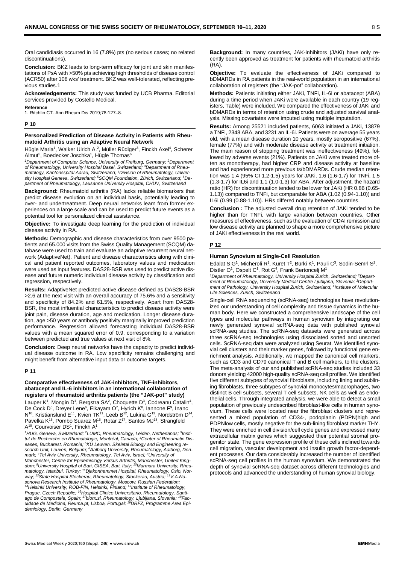Oral candidiasis occurred in 16 (7.8%) pts (no serious cases; no related discontinuations).

**Conclusion:** BKZ leads to long-term efficacy for joint and skin manifestations of PsA with >50% pts achieving high thresholds of disease control (ACR50) after 108 wks' treatment. BKZ was well-tolerated, reflecting previous studies.1

**Acknowledgements:** This study was funded by UCB Pharma. Editorial services provided by Costello Medical.

**Reference**

1. Ritchlin CT. Ann Rheum Dis 2019;78:127–8.

### **P 10**

### **Personalized Prediction of Disease Activity in Patients with Rheumatoid Arthritis using an Adaptive Neural Network**

Hügle Maria<sup>1</sup>, Walker Ulrich A.<sup>2</sup>, Müller Rüdiger<sup>3</sup>, Finckh Axel<sup>4</sup>, Scherer Almut<sup>5</sup>, Boedecker Joschka<sup>1</sup>, Hügle Thomas<sup>6</sup>

*1Department of Computer Science, University of Freiburg, Germany; 2Department of Rheumatology, University Hospital Basel, Switzerland; <sup>3</sup> Department of Rheumatology, Kantonsspital Aarau, Switzerland; <sup>4</sup> Division of Rheumatology, University Hospital Geneva, Switzerland; <sup>5</sup> SCQM Foundation, Zürich, Switzerland; 6Department of Rheumatology, Lausanne University Hospital, CHUV, Switzerland*

**Background:** Rheumatoid arthritis (RA) lacks reliable biomarkers that predict disease evolution on an individual basis, potentially leading to over- and undertreatment. Deep neural networks learn from former experiences on a large scale and can be used to predict future events as a potential tool for personalized clinical assistance.

**Objective:** To investigate deep learning for the prediction of individual disease activity in RA.

**Methods:** Demographic and disease characteristics from over 9500 patients and 65.000 visits from the Swiss Quality Management (SCQM) database were used to train and evaluate an adaptive recurrent neural network (AdaptiveNet). Patient and disease characteristics along with clinical and patient reported outcomes, laboratory values and medication were used as input features. DAS28-BSR was used to predict active disease and future numeric individual disease activity by classification and regression, respectively.

**Results:** AdaptiveNet predicted active disease defined as DAS28-BSR >2.6 at the next visit with an overall accuracy of 75.6% and a sensitivity and specificity of 84.2% and 61.5%, respectively. Apart from DAS28- BSR, the most influential characteristics to predict disease activity were joint pain, disease duration, age and medication. Longer disease duration, age >50 years or antibody positivity marginally improved prediction performance. Regression allowed forecasting individual DAS28-BSR values with a mean squared error of 0.9, corresponding to a variation between predicted and true values at next visit of 8%.

**Conclusion:** Deep neural networks have the capacity to predict individual disease outcome in RA. Low specificity remains challenging and might benefit from alternative input data or outcome targets.

### **P 11**

### **Comparative effectiveness of JAK-inhibitors, TNF-inhibitors, abatacept and IL-6 inhibitors in an international collaboration of registers of rheumatoid arthritis patients (the "JAK-pot" study)**

Lauper K<sup>1</sup>, Mongin D<sup>1</sup>, Bergstra SA<sup>2</sup>, Choquette D<sup>3</sup>, Codreanu Catalin<sup>4</sup>, De Cock D<sup>5</sup>, Dreyer Lene<sup>6</sup>, Elkayam O<sup>7</sup>, Hyrich K<sup>8</sup>, Iannone F<sup>9</sup>, Inanc  $N^{10}$ , Kristianslund E<sup>11</sup>, Kvien TK<sup>11</sup>, Leeb B<sup>12</sup>, Lukina G<sup>13</sup>, Nordström D<sup>14</sup>, Pavelka K<sup>15</sup>, Pombo Suarez M<sup>16</sup>, Rotar Z<sup>17</sup>, Santos MJ<sup>18</sup>, Strangfeld A $^{19}$ , Courvoiser DS $^1$ , Finckh A $^1$ 

*1HUG, Geneva, Switzerland; 2LUMC, Rheumatology, Leiden, Netherlands; 3Institut de Recherche en Rhumatologie, Montréal, Canada; 4Center of Rheumatic Diseases, Bucharest, Romania; 5KU Leuven, Skeletal Biology and Engineering research Unit, Leuven, Belgium; 6Aalborg University, Rheumatology, Aalborg, Denmark; 7Tel Aviv University, Rheumatology, Tel Aviv, Israel; 8University of Manchester, Centre for Epidemiology Versus Arthritis, Manchester, United Kingdom; <sup>9</sup> University Hospital of Bari, GISEA, Bari, Italy; 10Marmara University, Rheumatology, Istanbul, Turkey; 11Djakonhemmet Hospital, Rheumatology, Oslo, Norway; 12State Hospital Stockerau, Rheumatology, Stockerau, Austria; 13V.A.Na*sonova Research Institute of Rheumatology, Moscow, Russian Federation;<br><sup>14</sup>Helsinki University, ROB-FIN, Helsinki, Finland; <sup>15</sup>Institute of Rheumatology, *Prague, Czech Republic; 16Hospital Clinico Universitario, Rheumatology, Santiago de Compostela, Spain; 17biorx.si, Rheumatology, Ljubljana, Slovenia; 18Faculdade de Medicina, Reuma.pt, Lisboa, Portugal; 19DRFZ, Programme Area Epidemiology, Berlin, Germany*

**Background:** In many countries, JAK-inhibitors (JAKi) have only recently been approved as treatment for patients with rheumatoid arthritis (RA).

**Objective:** To evaluate the effectiveness of JAKi compared to bDMARDs in RA patients in the real-world population in an international collaboration of registers (the "JAK-pot" collaboration).

**Methods:** Patients initiating either JAKi, TNFi, IL-6i or abatacept (ABA) during a time period when JAKi were available in each country (19 registers, Table) were included. We compared the effectiveness of JAKi and bDMARDs in terms of retention using crude and adjusted survival analysis. Missing covariates were imputed using multiple imputation.

**Results:** Among 25521 included patients, 6063 initiated a JAKi, 13879 a TNFi, 2348 ABA, and 3231 an IL-6i. Patients were on average 55 years old, with a mean disease duration 10 years, mostly seropositive (67%), female (77%) and with moderate disease activity at treatment initiation. The main reason of stopping treatment was ineffectiveness (49%), followed by adverse events (21%). Patients on JAKi were treated more often as monotherapy, had higher CRP and disease activity at baseline and had experienced more previous ts/bDMARDs. Crude median retention was 1.4 (95% CI 1.2-1.5) years for JAKi, 1.6 (1.6-1.7) for TNFi, 1.5 (1.3-1.7) for IL6i and 1.1 (1.0-1.3) for ABA. After adjustment, the hazard ratio (HR) for discontinuation tended to be lower for JAKi (HR 0.86 (0.65- 1.13)) compared to TNFi, but comparable for ABA (1.02 (0.94-1.10)) and IL6i (0.99 (0.88-1.10)). HRs differed notably between countries.

**Conclusion :** The adjusted overall drug retention of JAKi tended to be higher than for TNFi, with large variation between countries. Other measures of effectiveness, such as the evaluation of CDAI remission and low disease activity are planned to shape a more comprehensive picture of JAKi effectiveness in the real world.

### **P 12**

### **Human Synovium at Single-Cell Resolution**

Edalat S G<sup>1</sup>, Micheroli R<sup>1</sup>, Kuret T<sup>2</sup>, Bürki K<sup>1</sup>, Pauli C<sup>3</sup>, Sodin-Semrl S<sup>2</sup>, Distler O<sup>1</sup>, Ospelt C<sup>1</sup>, Rot G<sup>4</sup>, Frank Bertoncelj M<sup>1</sup>

*1Department of Rheumatology, University Hospital Zurich, Switzerland; 2Department of Rheumatology, University Medical Centre Ljubljana, Slovenia; <sup>3</sup> Department of Pathology, University Hospital Zurich, Switzerland; 4Institute of Molecular Life Sciences, Zurich, Switzerland*

Single-cell RNA sequencing (scRNA-seq) technologies have revolutionized our understanding of cell complexity and tissue dynamics in the human body. Here we constructed a comprehensive landscape of the cell types and molecular pathways in human synovium by integrating our newly generated synovial scRNA-seq data with published synovial scRNA-seq studies. The scRNA-seq datasets were generated across three scRNA-seq technologies using dissociated sorted and unsorted cells. ScRNA-seq data were analyzed using Seurat. We identified synovial cell clusters and their marker genes, followed by functional gene enrichment analysis. Additionally, we mapped the canonical cell markers, such as CD3 and CD79 canonical T and B cell markers, to the clusters. The meta-analysis of our and published scRNA-seq studies included 33 donors yielding 42000 high-quality scRNA-seq cell profiles. We identified five different subtypes of synovial fibroblasts, including lining and sublining fibroblasts, three subtypes of synovial monocytes/macrophages, two distinct B cell subsets, several T cell subsets, NK cells as well as endothelial cells. Through integrated analysis, we were able to detect a small population of previously undescribed fibroblast-like cells in human synovium. These cells were located near the fibroblast clusters and represented a mixed population of CD34-, podoplanin (PDPN)high and PDPNlow cells, mostly negative for the sub-lining fibroblast marker THY. They were enriched in cell division/cell cycle genes and expressed many extracellular matrix genes which suggested their potential stromal progenitor state. The gene expression profile of these cells inclined towards cell migration, vascular development and insulin growth factor-dependent processes. Our data considerably increased the number of identified scRNA-seq cell profiles in the human synovium. We demonstrated the depth of synovial scRNA-seq dataset across different technologies and protocols and advanced the understanding of human synovial biology.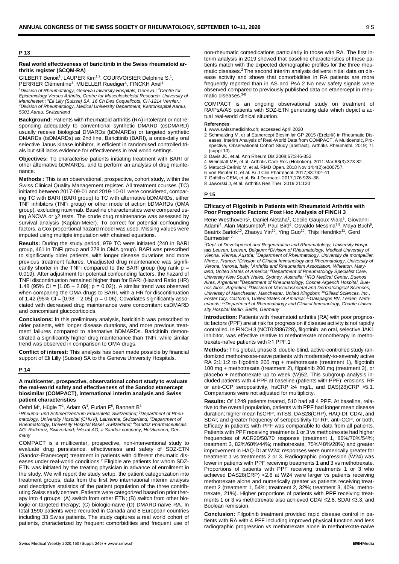### **P 13**

### **Real world effectiveness of baricitinib in the Swiss rheumatoid arthritis register (SCQM-RA)**

GILBERT Benoit<sup>1</sup>, LAUPER Kim<sup>1,2</sup>, COURVOISIER Delphine S.<sup>1</sup>, PERRIER Clémentine<sup>3</sup>, MUELLER Ruediger<sup>4</sup>, FINCKH Axel<sup>1</sup> *1Division of Rheumatology, Geneva University Hospitals, Geneva.; 2Centre for Epidemiology Versus Arthritis, Centre for Musculoskeletal Research, University of Manchester.; 3Eli Lilly (Suisse) SA, 16 Ch Des Coquelicots, CH-1214 Vernier.; 4Division of Rheumatology, Medical University Department, Kantonsspital Aarau, 5001 Aarau, Switzerland*

**Background:** Patients with rheumatoid arthritis (RA) intolerant or not responding adequately to conventional synthetic DMARD (csDMARD) usually receive biological DMARDs (bDMARDs) or targeted synthetic DMARDs (tsDMARDs) as 2nd line. Baricitinib (BARI), a once-daily oral selective Janus kinase inhibitor, is efficient in randomised controlled trials but still lacks evidence for effectiveness in real world settings.

**Objectives:** To characterise patients initiating treatment with BARI or other alternative bDMARDs, and to perform an analysis of drug maintenance.

**Methods :** This is an observational, prospective, cohort study, within the Swiss Clinical Quality Management register. All treatment courses (TC) initiated between 2017-09-01 and 2019-10-01 were considered, comparing TC with BARI (BARI group) to TC with alternative bDMARDs, either TNF inhibitors (TNFi group) or other mode of action bDMARDs (OMA group), excluding rituximab. Baseline characteristics were compared using ANOVA or χ2 tests. The crude drug maintenance was assessed by survival analysis (Kaplan-Meier). To correct for potential confounding factors, a Cox proportional hazard model was used. Missing values were imputed using multiple imputation with chained equations.

**Results:** During the study period, 979 TC were initiated (240 in BARI group, 461 in TNFi group and 278 in OMA group). BARI was prescribed to significantly older patients, with longer disease durations and more previous treatment failures. Unadjusted drug maintenance was significantly shorter in the TNFi compared to the BARI group (log rank  $p =$ 0.019). After adjustment for potential confounding factors, the hazard of TNFi discontinuation remained higher than for BARI (Hazard Ratio (HR) 1.48 (95% CI = [1.05 – 2.09]; p = 0.02)). A similar trend was observed when comparing the OMA drugs to BARI, with a HR for discontinuation of 1.42 (95% CI =  $[0.98 - 2.05]$ ; p = 0.06). Covariates significantly associated with decreased drug maintenance were concomitant csDMARD and concomitant glucocorticoids.

**Conclusions:** In this preliminary analysis, baricitinib was prescribed to older patients, with longer disease durations, and more previous treatment failures compared to alternative bDMARDs. Baricitinib demonstrated a significantly higher drug maintenance than TNFi, while similar trend was observed in comparison to OMA drugs.

**Conflict of interest:** This analysis has been made possible by financial support of Eli Lilly (Suisse) SA to the Geneva University Hospitals.

### **P 14**

**A multicenter, prospective, observational cohort study to evaluate the real-world safety and effectiveness of the Sandoz etanercept biosimilar (COMPACT), international interim analysis and Swiss patient characteristics**

Oehri M<sup>1</sup>, Hügle T<sup>2</sup>, Adam G<sup>4</sup>, Furlan F<sup>5</sup>, Bannert B<sup>3</sup>

*1Rheuma- und Schmerzzentrum Frauenfeld, Switzerland; 2Department of Rheumatology, University Hospital (CHUV), Lausanne, Switzerland; 3Department of Rheumatology, University Hospital Basel, Switzerland; 4Sandoz Pharmaceuticals AG, Rotkreuz, Switzerland; <sup>5</sup> Hexal AG, a Sandoz company, Holzkirchen, Germany*

COMPACT is a multicenter, prospective, non-interventional study to evaluate drug persistence, effectiveness and safety of SDZ-ETN (Sandoz-Etanercept) treatment in patients with different rheumatic diseases under real-world conditions.<sup>2</sup> Eligible are patients for whom SDZ-ETN was initiated by the treating physician in advance of enrollment in the study. We will report the study setup, the patient categorization into treatment groups, data from the first two international interim analysis and descriptive statistics of the patient population of the three contributing Swiss study centers. Patients were categorized based on prior therapy into 4 groups: (A) switch from other ETN; (B) switch from other biologic or targeted therapy; (C) biologic-naïve (D) DMARD-naïve RA. In total 1590 patients were recruited in Canada and 8 European countries including 33 Swiss patients. The study captures a real world cohort of patients, characterized by frequent comorbidities and frequent use of

non-rheumatic comedications particularly in those with RA. The first interim analysis in 2019 showed that baseline characteristics of these patients match with the expected demographic profiles for the three rheumatic diseases.2 The second interim analysis delivers initial data on disease activity and shows that comorbidities in RA patients are more frequently reported than in AS and PsA.2 No new safety signals were observed compared to previously published data on etanercept in rheumatic diseases.<sup>3-8</sup>

COMPACT is an ongoing observational study on treatment of RA/PsA/AS patients with SDZ-ETN generating data which depict a actual real-world clinical situation.

### **References**

- 1 www.swissmedicinfo.ch; accessed April 2020
- 2 Schmalzing M, et al Etanercept Biosimilar GP 2015 (Erelzi®) in Rheumatic Diseases: Interim Analysis of Real-World Data from COMPACT: A Multicentric, Prospective, Observational Cohort Study [abstract]. Arthritis Rheumatol. 2019; 71 (suppl 10).
- 3 Davis JC, et al. Ann Rheum Dis 2008;67:346-352.
- 4 Weinblatt ME, et al. Arthritis Care Res (Hoboken). 2011:Mar;63(3):373-82.
- 5 Matucci-Cerinic M, et al. RMD Open. 2018 Nov 14;4(2):e000757.
- 6 von Richter O, et al. Br J Clin Pharmacol. 2017;83:732–41
- 7 Griffiths CEM, et al. Br J Dermatol. 2017;176:928–38
- 8 Jaworski J, et al. Arthritis Res Ther. 2019;21:130

### **P 15**

### **Efficacy of Filgotinib in Patients with Rheumatoid Arthritis with Poor Prognostic Factors: Post Hoc Analysis of FINCH 3**

Rene Westhovens<sup>1</sup>, Daniel Aletaha<sup>2</sup>, Cecile Gaujoux-Viala<sup>3</sup>, Giovanni Adami<sup>4</sup>, Alan Matsumoto<sup>5</sup>, Paul Bird<sup>6</sup>, Osvaldo Messina<sup>7,8</sup>, Maya Buch<sup>9</sup>, Beatrix Bartok<sup>10</sup>, Zhaoyu Yin<sup>10</sup>, Ying Guo<sup>10</sup>, Thijs Hendrikx<sup>11</sup>, Gerd Burmester<sup>12</sup>

*1 Dept. of Development and Regeneration and Rheumatology, University Hospitals Leuven, Leuven, Belgium; 2Division of Rheumatology, Medical University of Vienna, Vienna, Austria; 3Department of Rheumatology, University de montpellier, Nîmes, France; 4Division of Clinical Immunology and Rheumatology, University of Verona, Verona, Italy; <sup>5</sup> Arthritis and Rheumatism Association, Wheaton, Maryland, United States of America; 6Department of Rheumatology Specialist Care, University New South Wales, Sydney, Australia; 7IRO Medical Center, Buenos Aires, Argentina; 8Department of Rheumatology, Cosme Argerich Hospital, Buenos Aires, Argentina; 9Division of Musculoskeletal and Dermatological Sciences, University of Manchester, Manchester, United Kingdom; 10Gilead Sciences, Inc., Foster City, California, United States of America; 11Galapagos BV, Leiden, Netherlands; 12Department of Rheumatology and Clinical Immunology, Charite University Hospital Berlin, Berlin, Germany*

**Introduction:** Patients with rheumatoid arthritis (RA) with poor prognostic factors (PPF) are at risk for progression if disease activity is not rapidly controlled. In FINCH 3 (NCT02886728), filgotinib, an oral, selective JAK1 inhibitor, was effective relative to methotrexate monotherapy in methotrexate-naïve patients with ≥1 PPF.1

**Methods:** This global, phase 3, double-blind, active-controlled study randomized methotrexate-naïve patients with moderately-to-severely active RA 2:1:1:2 to filgotinib 200 mg + methotrexate (treatment 1), filgotinib 100 mg + methotrexate (treatment 2), filgotinib 200 mg (treatment 3), or placebo + methotrexate up to week (W)52. This subgroup analysis included patients with 4 PPF at baseline (patients with PPF): erosions, RF or anti-CCP seropositivity, hsCRP ≥4 mg/L, and DAS(28)CRP >5.1. Comparisons were not adjusted for multiplicity.

**Results:** Of 1249 patients treated, 510 had all 4 PPF. At baseline, relative to the overall population, patients with PPF had longer mean disease duration; higher mean hsCRP, mTSS, DAS28(CRP), HAQ-DI, CDAI, and SDAI; and greater frequency of seropositivity for RF, anti-CCP, or both. Efficacy in patients with PPF was comparable to data from all patients. Patients with PPF receiving treatments 1 or 3 vs methotrexate had higher frequencies of ACR20/50/70 response (treatment 1, 86%/70%/54%; treatment 3, 82%/60%/44%; methotrexate, 75%/48%/28%) and greater improvement in HAQ-DI at W24; responses were numerically greater for treatment 1 vs treatments 2 or 3. Radiographic progression (W24) was lower in patients with PPF receiving treatments 1 and 3 vs methotrexate. Proportions of patients with PPF receiving treatments 1 or 3 who achieved DAS28(CRP) <2.6 at W24 were larger vs patients receiving methotrexate alone and numerically greater vs patients receiving treatment 2 (treatment 1, 54%; treatment 2, 32%; treatment 3, 40%; methotrexate, 21%). Higher proportions of patients with PPF receiving treatments 1 or 3 vs methotrexate also achieved CDAI ≤2.8, SDAI ≤3.3, and Boolean remission.

**Conclusion:** Filgotinib treatment provided rapid disease control in patients with RA with 4 PFF including improved physical function and less radiographic progression vs methotrexate alone in methotrexate-naïve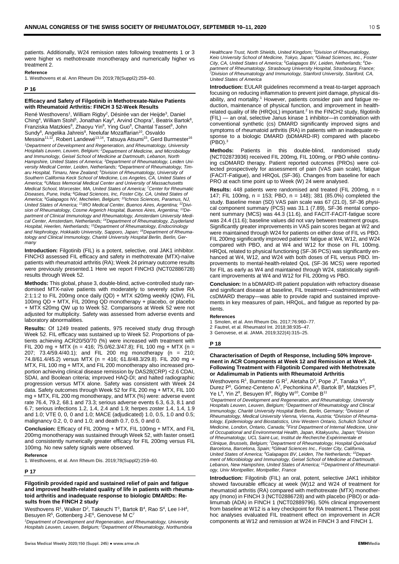patients. Additionally, W24 remission rates following treatments 1 or 3 were higher vs methotrexate monotherapy and numerically higher vs treatment 2.

### **Reference**

1. Westhovens et al. Ann Rheum Dis 2019;78(Suppl2):259–60.

### **P 16**

### **Efficacy and Safety of Filgotinib in Methotrexate-Naïve Patients with Rheumatoid Arthritis: FINCH 3 52-Week Results**

René Westhovens<sup>1</sup>, William Rigby<sup>2</sup>, Désirée van der Heijde<sup>3</sup>, Daniel Ching<sup>4</sup>, William Stohl<sup>5</sup>, Jonathan Kay<sup>6</sup>, Arvind Chopra<sup>7</sup>, Beatrix Bartok<sup>8</sup>, Franziska Matzkies<sup>8</sup>, Zhaoyu Yin<sup>8</sup>, Ying Guo<sup>8</sup>, Chantal Tasset<sup>9</sup>, John Sundy<sup>8</sup>, Angelika Jahreis<sup>8</sup>, Neelufar Mozaffarian<sup>10</sup>, Osvaldo Messina<sup>11,12</sup>, Robert Landewé<sup>13,14</sup>, Tatsuya Atsumi<sup>15</sup>, Gerd Burmester<sup>16</sup> *1Department of Development and Regeneration, and Rheumatology, University Hospitals Leuven, Leuven, Belgium; <sup>2</sup> Department of Medicine, and Microbiology and Immunology, Geisel School of Medicine at Dartmouth, Lebanon, North Hampshire, United States of America; 3Department of Rheumatology, Leiden University Medical Center, Leiden, Netherlands; 4Department of Rheumatology, Timaru Hospital, Timaru, New Zealand; <sup>5</sup> Division of Rheumatology, University of Southern California Keck School of Medicine, Los Angeles, CA, United States of America; 6UMass Memorial Medical Center and University of Massachusetts Medical School, Worcester, MA, United States of America; <sup>7</sup> Center for Rheumatic Diseases, Pune, India; 8Gilead Sciences, Inc, Foster City, CA, United States of America; 9Galapagos NV, Mechelen, Belgium; 10Ichnos Sciences, Paramus, NJ, United States of America; 11IRO Medical Center, Buenos Aires, Argentina; 12Division of Rheumatology, Cosme Argerich Hospital, Buenos Aires, Argentina; 13De*partment of Clinical Immunology and Rheumatology, Amsterdam University Medi<br>cal Center, Amsterdam, Netherlands; <sup>14</sup>Department of Rheumatology, Zuyderland *Hospital, Heerlen, Netherlands; 15Department of Rheumatology, Endocrinology and Nephrology, Hokkaido University, Sapporo, Japan; 16Department of Rheumatology and Clinical Immunology, Charité University Hospital Berlin, Berlin, Germany*

**Introduction:** Filgotinib (FIL) is a potent, selective, oral JAK1 inhibitor. FINCH3 assessed FIL efficacy and safety in methotrexate (MTX)-naïve patients with rheumatoid arthritis (RA); Week 24 primary outcome results were previously presented.1 Here we report FINCH3 (NCT02886728) results through Week 52.

**Methods:** This global, phase 3, double-blind, active-controlled study randomised MTX-naïve patients with moderately to severely active RA 2:1:1:2 to FIL 200mg once daily (QD) + MTX ≤20mg weekly (QW), FIL 100mg QD + MTX, FIL 200mg QD monotherapy + placebo, or placebo + MTX ≤20mg QW up to Week 52. Comparisons at Week 52 were not adjusted for multiplicity. Safety was assessed from adverse events and laboratory abnormalities.

**Results:** Of 1249 treated patients, 975 received study drug through Week 52. FIL efficacy was sustained up to Week 52. Proportions of patients achieving ACR20/50/70 (%) were increased with treatment with FIL 200 mg + MTX (n = 416; 75.0/62.3/47.8); FIL 100 mg + MTX (n = 207; 73.4/59.4/40.1); and FIL 200 mg monotherapy (n = 210; 74.8/61.4/45.2) versus MTX (n = 416; 61.8/48.3/29.8). FIL 200 mg + MTX, FIL 100 mg + MTX, and FIL 200 monotherapy also increased proportion achieving clinical disease remission by DAS28(CRP) <2.6 CDAI, SDAI, and Boolean criteria; improved HAQ-DI; and halted radiographic progression versus MTX alone. Safety was consistent with Week 24 data. Safety outcomes through Week 52 for FIL 200 mg + MTX, FIL 100 mg + MTX, FIL 200 mg monotherapy, and MTX (%) were: adverse event rate 76.4, 79.2, 68.1 and 73.3; serious adverse events 6.3, 6.3, 8.1 and 6.7; serious infections 1.2, 1.4, 2.4 and 1.9; herpes zoster 1.4, 1.4, 1.9 and 1.0; VTE 0, 0, 0 and 1.0; MACE (adjudicated) 1.0, 0.5, 1.0 and 0.5; malignancy 0.2, 0, 0 and 1.0; and death 0.7, 0.5, 0 and 0.

**Conclusion:** Efficacy of FIL 200mg + MTX, FIL 100mg + MTX, and FIL 200mg monotherapy was sustained through Week 52, with faster onset1 and consistently numerically greater efficacy for FIL 200mg versus FIL 100mg. No new safety signals were observed.

### **Reference**

1. Westhovens, et al. Ann Rheum Dis. 2019;78(Suppl2):259–60.

### **P 17**

**Filgotinib provided rapid and sustained relief of pain and fatigue and improved health-related quality of life in patients with rheumatoid arthritis and inadequate response to biologic DMARDs: Results from the FINCH 2 study**

Westhovens R<sup>1</sup>, Walker D<sup>2</sup>, Takeuchi T<sup>3</sup>, Bartok B<sup>4</sup>, Rao S<sup>4</sup>, Lee I-H<sup>4</sup>, Besuyen R $^5$ , Gottenberg J-E $^6$ , Genovese M C $^7$ 

*1Department of Development and Regeneration, and Rheumatology, University Hospitals Leuven, Leuven, Belgium; 2Department of Rheumatology, Northumbria* *Healthcare Trust, North Shields, United Kingdom; 3Division of Rheumatology, Keio University School of Medicine, Tokyo, Japan; 4Gilead Sciences, Inc., Foster City, CA, United States of America; 5Galapagos BV, Leiden, Netherlands; 6De*partment of Rheumatology, Strasbourg University Hospital, Strasbourg, France,<br><sup>7</sup>Division of Rheumatology and Immunology, Stanford University, Stanford, CA, *United States of America*

**Introduction:** EULAR guidelines recommend a treat-to-target approach focusing on reducing inflammation to prevent joint damage, physical disability, and mortality.<sup>1</sup> However, patients consider pain and fatigue reduction, maintenance of physical function, and improvement in healthrelated quality of life (HRQoL) important.<sup>2</sup> In the FINCH2 study, filgotinib (FIL) — an oral, selective Janus kinase 1 inhibitor—in combination with conventional synthetic (cs) DMARD significantly improved signs and symptoms of rheumatoid arthritis (RA) in patients with an inadequate response to a biologic DMARD (bDMARD-IR) compared with placebo  $(PRO).$ <sup>3</sup>

**Methods:** Patients in this double-blind, randomised study (NCT02873936) received FIL 200mg, FIL 100mg, or PBO while continuing csDMARD therapy. Patient reported outcomes (PROs) were collected prospectively for assessment of pain (VAS pain scale), fatigue (FACIT-Fatigue), and HRQoL (SF-36). Changes from baseline for each PRO at each time point up to Week (W) 24 were analysed.

**Results:** 448 patients were randomised and treated (FIL 200mg, n = 147; FIL 100mg, n = 153; PBO, n = 148); 381 (85.0%) completed the study. Baseline mean (SD) VAS pain scale was 67 (21.0), SF-36 physical component summary (PCS) was 31.1 (7.89), SF-36 mental component summary (MCS) was 44.3 (11.6), and FACIT-FACIT-fatigue score was 24.4 (11.6); baseline values did not vary between treatment groups. Significantly greater improvements in VAS pain scores began at W2 and were maintained through W24 for patients on either dose of FIL vs PBO. FIL 200mg significantly improved patients' fatigue at W4, W12, and W24 compared with PBO, and at W4 and W12 for those on FIL 100mg. HRQoL related to physical functioning (SF-36 PCS) was significantly enhanced at W4, W12, and W24 with both doses of FIL versus PBO. Improvements to mental-health-related QoL (SF-36 MCS) were reported for FIL as early as W4 and maintained through W24, statistically significant improvements at W4 and W12 for FIL 200mg vs PBO.

**Conclusion:** In a bDMARD-IR patient population with refractory disease and significant disease at baseline, FIL treatment—coadministered with csDMARD therapy—was able to provide rapid and sustained improvements in key measures of pain, HRQoL, and fatigue as reported by patients.

### **References**

1 Smolen, et al. Ann Rheum Dis. 2017;76:960–77.

- 2 Fautrel, et al. Rheumatol Int. 2018;38:935–47.
- 3 Genovese, et al. JAMA. 2019;322(4):315–25.

### **P 18**

### **Characterisation of Depth of Response, Including 50% Improvement in ACR Components at Week 12 and Remission at Week 24, Following Treatment with Filgotinib Compared with Methotrexate or Adalimumab in Patients with Rheumatoid Arthritis**

Westhovens R<sup>1</sup>, Burmester G R<sup>2</sup>, Aletaha D<sup>3</sup>, Pope J<sup>4</sup>, Tanaka Y<sup>5</sup>, Durez P<sup>6</sup>, Gómez-Centeno A<sup>7</sup>, Pechonkina A<sup>8</sup>, Bartok B<sup>8</sup>, Matzkies F<sup>8</sup>, Ye L<sup>8</sup>, Yin Z<sup>8</sup>, Besuyen R<sup>9</sup>, Rigby W<sup>10</sup>, Combe B<sup>11</sup>

*1 Department of Development and Regeneration, and Rheumatology, University Hospitals Leuven, Leuven, Belgium; 2Department of Rheumatology and Clinical Immunology, Charité University Hospital Berlin, Berlin, Germany; <sup>3</sup> Division of Rheumatology, Medical University Vienna, Vienna, Austria; <sup>4</sup> Division of Rheumatology, Epidemiology and Biostatistics, Univ Western Ontario, Schulich School of Medicine, London, Ontario, Canada; 5First Department of Internal Medicine, Univ of Occupational and Environmental Health, Japan, Kitakyushu, Japan; 6Division of Rheumatology, UCL Saint-Luc, Institut de Recherche Expérimentale et Clinique, Brussels, Belgium; 7Department of Rheumatology, Hospital Quirósalud Barcelona, Barcelona, Spain; 8Gilead Sciences Inc., Foster City, California,* United States of America; <sup>9</sup>Galapagos BV, Leiden, The Netherlands; <sup>10</sup>Depart*ment of Microbiology and Immunology, Geisel School of Medicine at Dartmouth, Lebanon, New Hampshire, United States of America; 11Department of Rheumatology, Univ Montpellier, Montpellier, France*

**Introduction:** Filgotinib (FIL) an oral, potent, selective JAK1 inhibitor showed favourable efficacy at week (W)12 and W24 of treatment for rheumatoid arthritis (RA) compared with methotrexate (MTX) monotherapy (mono) in FINCH 3 (NCT02886728) and with placebo (PBO) or adalimumab (ADA) in FINCH 1 (NCT02889796). 50% clinical improvement from baseline at W12 is a key checkpoint for RA treatment.1 These post hoc analyses evaluated FIL treatment effect on improvement in ACR components at W12 and remission at W24 in FINCH 3 and FINCH 1.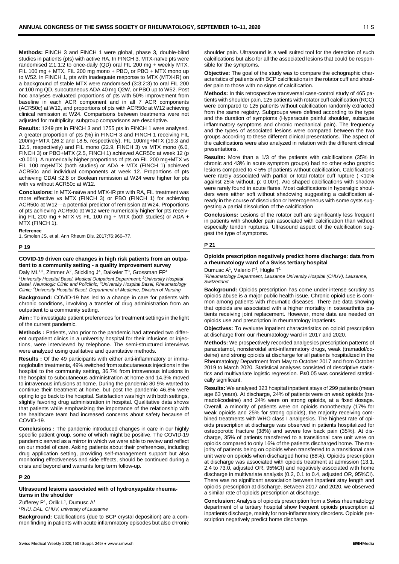**Methods:** FINCH 3 and FINCH 1 were global, phase 3, double-blind studies in patients (pts) with active RA. In FINCH 3, MTX-naïve pts were randomised 2:1:1:2 to once-daily (QD) oral FIL 200 mg + weekly MTX, FIL 100 mg + MTX, FIL 200 mg mono + PBO, or PBO + MTX mono up to W52. In FINCH 1, pts with inadequate response to MTX (MTX-IR) on a background of stable MTX were randomised (3:3:2:3) to oral FIL 200 or 100 mg QD, subcutaneous ADA 40 mg Q2W, or PBO up to W52. Post hoc analyses evaluated proportions of pts with 50% improvement from baseline in each ACR component and in all 7 ACR components (ACR50c) at W12, and proportions of pts with ACR50c at W12 achieving clinical remission at W24. Comparisons between treatments were not adjusted for multiplicity; subgroup comparisons are descriptive.

**Results:** 1249 pts in FINCH 3 and 1755 pts in FINCH 1 were analysed. A greater proportion of pts (%) in FINCH 3 and FINCH 1 receiving FIL 200mg+MTX (26.2 and 18.5, respectively), FIL 100mg+MTX (19.3 and 12.5, respectively) and FIL mono (22.9, FINCH 3) vs MTX mono (6.0, FINCH 3) or PBO+MTX (2.5, FINCH 1) achieved ACR50c at week 12 (p <0.001). A numerically higher proportions of pts on FIL 200 mg+MTX vs FIL 100 mg+MTX (both studies) or ADA + MTX (FINCH 1) achieved ACR50c and individual components at week 12. Proportions of pts achieving CDAI ≤2.8 or Boolean remission at W24 were higher for pts with vs without ACR50c at W12.

**Conclusions:** In MTX-naïve and MTX-IR pts with RA, FIL treatment was more effective vs MTX (FINCH 3) or PBO (FINCH 1) for achieving ACR50c at W12—a potential predictor of remission at W24. Proportions of pts achieving ACR50c at W12 were numerically higher for pts receiving FIL 200 mg + MTX vs FIL 100 mg + MTX (both studies) or ADA + MTX (FINCH 1).

### **Reference**

1. Smolen JS, et al. Ann Rheum Dis. 2017;76:960–77.

### **P 19**

### **COVID-19 driven care changes in high risk patients from an outpatient to a community setting - a quality improvement survey** Daly ML<sup>1,3</sup>, Zimmer A<sup>2</sup>, Stickling J<sup>4</sup>, Daikeler T<sup>3</sup>, Grossman FF<sup>4</sup>

*1University Hospital Basel, Medical Outpatient Department; 2University Hospital Basel, Neurologic Clinic and Policlinic; 3University Hospital Basel, Rheumatology Clinic; 4University Hospital Basel, Department of Medicine, Division of Nursing*

**Background:** COVID-19 has led to a change in care for patients with chronic conditions, involving a transfer of drug administration from an outpatient to a community setting.

**Aim :** To investigate patient preferences for treatment settings in the light of the current pandemic.

**Methods :** Patients, who prior to the pandemic had attended two different outpatient clinics in a university hospital for their infusions or injections, were interviewed by telephone. The semi-structured interviews were analyzed using qualitative and quantitative methods.

**Results :** Of the 49 participants with either anti-inflammatory or immunoglobulin treatments, 49% switched from subcutaneous injections in the hospital to the community setting, 36.7% from intravenous infusions in the hospital to subcutaneous administration at home and 14.3% moved to intravenous infusions at home. During the pandemic 80.9% wanted to continue their treatment at home, but post the pandemic 46.8% were opting to go back to the hospital. Satisfaction was high with both settings, slightly favoring drug administration in hospital. Qualitative data shows that patients while emphasizing the importance of the relationship with the healthcare team had increased concerns about safety because of COVID-19.

**Conclusions :** The pandemic introduced changes in care in our highly specific patient group, some of which might be positive. The COVID-19 pandemic served as a mirror in which we were able to review and reflect on our model of care. Asking patients about their preferences, including drug application setting, providing self-management support but also monitoring effectiveness and side effects, should be continued during a crisis and beyond and warrants long term follow-up.

### **P 20**

### **Ultrasound lesions associated with of hydroxyapatite rheumatisms in the shoulder**

Zufferey P<sup>1</sup>, Orlik L<sup>1</sup>, Dumusc A<sup>1</sup> *1RHU, DAL, CHUV, university of Lausanne*

**Background:** Calcifications (due to BCP crystal deposition) are a common finding in patients with acute inflammatory episodes but also chronic shoulder pain. Ultrasound is a well suited tool for the detection of such calcifications but also for all the associated lesions that could be responsible for the symptoms.

**Objective:** The goal of the study was to compare the echographic characteristics of patients with BCP calcifications in the rotator cuff and shoulder pain to those with no signs of calcification.

**Methods:** In this retrospective transversal case-control study of 465 patients with shoulder pain, 125 patients with rotator cuff calcification (RCC) were compared to 125 patients without calcification randomly extracted from the same registry. Subgroups were defined according to the type and the duration of symptoms (Hyperacute painful shoulder, subacute inflammatory symptoms and chronic mechanical pain). The frequency and the types of associated lesions were compared between the two groups according to these different clinical presentations. The aspect of the calcifications were also analyzed in relation with the different clinical presentations.

**Results:** More than a 1/3 of the patients with calcifications (35% in chronic and 43% in acute symptom groups) had no other echo graphic lesions compared to < 5% of patients without calcification. Calcifications were rarely associated with partial or total rotator cuff rupture ( <10% against 25% without, p: 0.007). Arc shaped calcifications with shadow were rarely found in acute flares. Most calcifications in hyperalgic shoulders were either soft without shadowing suggesting a calcification already in the course of dissolution or heterogeneous with some cysts suggesting a partial dissolution of the calcification

**Conclusions:** Lesions of the rotator cuff are significantly less frequent in patients with shoulder pain associated with calcification than without especially tendon ruptures. Ultrasound aspect of the calcification suggest the type of symptoms.

### **P 21**

### **Opioids prescription negatively predict home discharge: data from a rheumatology ward of a Swiss tertiary hospital**

Dumusc A<sup>1</sup>, Valerio F<sup>1</sup>, Hügle T<sup>1</sup>

*1Rheumatology Department, Lausanne University Hospital (CHUV), Lausanne, Switzerland*

**Background:** Opioids prescription has come under intense scrutiny as opioids abuse is a major public health issue. Chronic opioid use is common among patients with rheumatic diseases. There are data showing that opioids are associated with a higher mortality in osteoarthritis patients receiving joint replacement. However, more data are needed on opioids use and prescription in rheumatology inpatients.

**Objectives:** To evaluate inpatient characteristics on opioid prescription at discharge from our rheumatology ward in 2017 and 2020.

**Methods:** We prospectively recorded analgesics prescription patterns of paracetamol, nonsteroidal anti-inflammatory drugs, weak (tramadol/codeine) and strong opioids at discharge for all patients hospitalized in the Rheumatology Department from May to October 2017 and from October 2019 to March 2020. Statistical analyses consisted of descriptive statistics and multivariate logistic regression. P≤0.05 was considered statistically significant.

**Results:** We analysed 323 hospital inpatient stays of 299 patients (mean age 63 years). At discharge, 24% of patients were on weak opioids (tramadol/codeine) and 24% were on strong opioids, at a fixed dosage. Overall, a minority of patients were on opioids monotherapy (17% for weak opioids and 25% for strong opioids), the majority receiving combined treatments with WHO class I analgesics. The highest rate of opioids prescription at discharge was observed in patients hospitalized for osteoporotic fracture (38%) and severe low back pain (35%). At discharge, 35% of patients transferred to a transitional care unit were on opioids compared to only 16% of the patients discharged home. The majority of patients being on opioids when transferred to a transitional care unit were on opioids when discharged home (88%). Opioids prescription at discharge was associated with opioids treatment at admission (13.1, 2.4 to 73.0, adjusted OR, 95%CI) and negatively associated with home discharge in multivariate analysis (0.2, 0.1 to 0.4, adjusted OR, 95%CI). There was no significant association between inpatient stay length and opioids prescription at discharge. Between 2017 and 2020, we observed a similar rate of opioids prescription at discharge.

**Conclusion:** Analysis of opioids prescription from a Swiss rheumatology department of a tertiary hospital show frequent opioids prescription at inpatients discharge, mainly for non-inflammatory disorders. Opioids prescription negatively predict home discharge.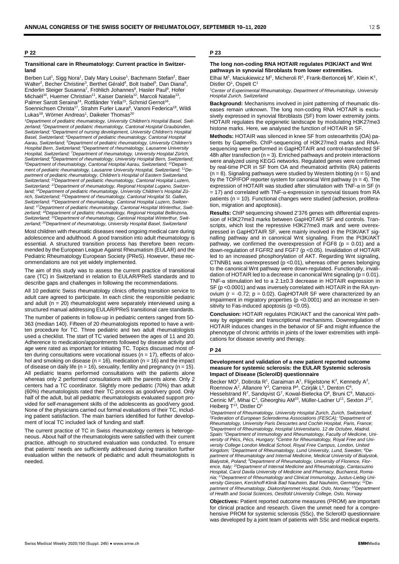### **P 22**

### **Transitional care in Rheumatology: Current practice in Switzerland**

Berben Lut<sup>1</sup>, Sigg Nora<sup>1</sup>, Daly Mary Louise<sup>1</sup>, Bachmann Stefan<sup>2</sup>, Baer Walter<sup>2</sup>, Becher Christine<sup>3</sup>, Berthet Gérald<sup>4</sup>, Bolt Isabel<sup>5</sup>, Dan Diana<sup>6</sup>, Enderlin Steiger Susanna<sup>7</sup>, Fröhlich Johannes<sup>8</sup>, Hasler Paul<sup>9</sup>, Hofer Michaël<sup>10</sup>, Huemer Christian<sup>11</sup>, Kaiser Daniela<sup>12</sup>, Marcoli Natalie<sup>13</sup>, Palmer Sarott Seraina<sup>14</sup>, Rottländer Yella<sup>15</sup>, Schmid Gernot<sup>16</sup>, Soennichsen Christa<sup>17</sup>, Strahm Furler Laura<sup>8</sup>, Vanoni Federica<sup>18</sup>, Wildi Lukas<sup>19</sup>, Wörner Andreas<sup>1</sup>, Daikeler Thomas<sup>20</sup>

<sup>1</sup>Department of pediatric rheumatology, University Children's Hospital Basel, Swit-<br>zerland; <sup>2</sup>Department of pediatric rheumatology, Cantonal Hospital Graubünden, *Switzerland; 3Department of nursing development, University Children's Hospital Basel, Switzerland; 4Department of pediatric rheumatology, Cantonal Hospital Aarau, Switzerland; 5Department of pediatric rheumatology, University Children's Hospital Bern, Switzerland; 6Department of rheumatology, Lausanne University Hospital, Switzerland; 7Department of rheumatology, University Hospital Zürich,* Switzerland; <sup>8</sup>Department of rheumatology, University Hospital Bern, Switzerland;<br><sup>9</sup>Department of rheumatology, Cantonal Hospital Aarau, Switzerland; <sup>10</sup>Depart*ment of pediatric rheumatology, Lausanne University Hospital, Switzerland; 11Department of pediatric rheumatology, Children's Hospital of Eastern Switzerland, Switzerland; 12Department of pediatric rheumatology, Cantonal Hospital Luzern, Switzerland; 13Department of rheumatology, Regional Hospital Lugano, Switzerland; 14Department of pediatric rheumatology, University Children's Hospital Zürich, Switzerland; 15Department of rheumatology, Cantonal Hospital St. Gallen, Switzerland; 16Department of rheumatology, Cantonal Hospital Luzern, Switzerland; 17Department of pediatric rheumatology, Cantonal Hospital Winterthur, Switzerland; 18Department of pediatric rheumatology, Regional Hospital Bellinzona, Switzerland; 19Department of rheumatology, Cantonal Hospital Winterthur, Switzerland; 20Department of rheumatology, University Hospital Basel, Switzerland*

Most children with rheumatic diseases need ongoing medical care during adolescence and adulthood. A good transition into adult rheumatology is essential. A structured transition process has therefore been recommended by the European League Against Rheumatism (EULAR) and the Pediatric Rheumatology European Society (PReS). However, these recommendations are not yet widely implemented.

The aim of this study was to assess the current practice of transitional care (TC) in Switzerland in relation to EULAR/PReS standards and to describe gaps and challenges in following the recommendations.

All 10 pediatric Swiss rheumatology clinics offering transition service to adult care agreed to participate. In each clinic the responsible pediatric and adult ( $n = 20$ ) rheumatologist were separately interviewed using a structured manual addressing EULAR/PReS transitional care standards.

The number of patients in follow-up in pediatric centers ranged from 50- 363 (median 140). Fifteen of 20 rheumatologists reported to have a written procedure for TC. Three pediatric and two adult rheumatologists used a checklist. The start of TC varied between the ages of 11 and 20. Adherence to medication/appointments followed by disease activity and age were rated as important for initiating TC. Topics discussed most often during consultations were vocational issues ( $n = 17$ ), effects of alcohol and smoking on disease ( $n = 16$ ), medication ( $n = 16$ ) and the impact of disease on daily life ( $n = 16$ ), sexuality, fertility and pregnancy ( $n = 15$ ). All pediatric teams performed consultations with the patients alone whereas only 2 performed consultations with the parents alone. Only 2 centers had a TC coordinator. Slightly more pediatric (70%) than adult (60%) rheumatologists rated their TC process as good/very good. Only half of the adult, but all pediatric rheumatologists evaluated support provided for self-management skills of the adolescents as good/very good. None of the physicians carried out formal evaluations of their TC, including patient satisfaction. The main barriers identified for further development of local TC included lack of funding and staff.

The current practice of TC in Swiss rheumatology centers is heterogeneous. About half of the rheumatologists were satisfied with their current practice, although no structured evaluation was conducted. To ensure that patients' needs are sufficiently addressed during transition further evaluation within the network of pediatric and adult rheumatologists is needed.

### **P 23**

### **The long non-coding RNA HOTAIR regulates PI3K/AKT and Wnt pathways in synovial fibroblasts from lower extremities.**

Elhai M<sup>1</sup>, Maciukiewicz M<sup>1</sup>, Micheroli R<sup>1</sup>, Frank-Bertoncelj M<sup>1</sup>, Klein K<sup>1</sup>, Distler O<sup>1</sup>, Ospelt C<sup>1</sup>

*1Center of Experimental Rheumatology, Department of Rheumatology, University Hospital Zurich, Switzerland*

**Background:** Mechanisms involved in joint patterning of rheumatic diseases remain unknown. The long non-coding RNA HOTAIR is exclusively expressed in synovial fibroblasts (SF) from lower extremity joints. HOTAIR regulates the epigenetic landscape by modulating H3K27me3 histone marks. Here, we analysed the function of HOTAIR in SF.

**Methods:** HOTAIR was silenced in knee SF from osteoarthritis (OA) patients by GapmeRs. ChIP-sequencing of H3K27me3 marks and RNAsequencing were performed in GapHOTAIR and control-transfected SF 48h after transfection ( $n = 3$ ). Enriched pathways and protein interactions were analyzed using KEGG networks. Regulated genes were confirmed by real-time PCR in SF from OA and rheumatoid arthritis (RA) patients  $(n = 8)$ . Signaling pathways were studied by Western blotting  $(n = 5)$  and by the TOP/FOP reporter system for canonical Wnt pathway ( $n = 4$ ). The expression of HOTAIR was studied after stimulation with TNF-α in SF (n  $=$  17) and correlated with TNF- $α$ -expression in synovial tissues from RA patients (n = 10). Functional changes were studied (adhesion, proliferation, migration and apoptosis).

**Results:** ChIP sequencing showed 2'376 genes with differential expression of H3K27me3 marks between GapHOTAIR SF and controls. Transcripts, which lost the repressive H3K27me3 mark and were overexpressed in GapHOTAIR SF, were mainly involved in the PI3K/AKT signalling pathway and in canonical Wnt signaling. From the PI3K/AKT pathway, we confirmed the overexpression of  $\overline{F}GF8$  ( $p = 0.01$ ) and a down-regulation of FGFR2 and FGF7 (p <0.05). Invalidation of HOTAIR led to an increased phosphorylation of AKT. Regarding Wnt signaling, CTNNB1 was overexpressed (p <0.01), whereas other genes belonging to the canonical Wnt pathway were down-regulated. Functionally, invalidation of HOTAIR led to a decrease in canonical Wnt signaling ( $p = 0.01$ ). TNF-α stimulation led to a 2.1±0.3 decrease in HOTAIR expression in SF (p <0.0001) and was inversely correlated with HOTAIR in the RA synovium ( $r = -0.72$ ;  $p = 0.02$ ). GapHOTAIR SF were characterized by an impairment in migratory properties (p <0.0001) and an increase in sensitivity to Fas-induced apoptosis (p <0.05).

**Conclusion:** HOTAIR regulates PI3K/AKT and the canonical Wnt pathway by epigenetic and transcriptional mechanisms. Downregulation of HOTAIR induces changes in the behavior of SF and might influence the phenotype of chronic arthritis in joints of the lower extremities with implications for disease severity and therapy.

### **P 24**

### **Development and validation of a new patient reported outcome measure for systemic sclerosis: the EULAR Systemic sclerosis Impact of Disease (ScleroID) questionnaire**

Becker MO<sup>1</sup>, Dobrota R<sup>1</sup>, Garaiman A<sup>1</sup>, Fligelstone K<sup>2</sup>, Kennedy A<sup>2</sup>, Roennow A<sup>2</sup>, Allanore Y<sup>3</sup>, Carreira P<sup>4</sup>, Czirják L<sup>5</sup>, Denton C<sup>6</sup>, Hesselstrand  $R^7$ , Sandqvist G<sup>7</sup>, Kowal-Bielecka O<sup>8</sup>, Bruni C<sup>9</sup>, Matucci-Cerinic M<sup>9</sup>, Mihai C<sup>1</sup>, Gheorghiu AM<sup>10</sup>, Müller-Ladner U<sup>11</sup>, Sexton J<sup>12</sup>, Heiberg  $T^{13}$ , Distler O<sup>1</sup>

*1Department of Rheumatology, University Hospital Zurich, Zurich, Switzerland; 2 Federation of European Scleroderma Associations (FESCA); <sup>3</sup> Department of Rheumatology, University Paris Descartes and Cochin Hospital, Paris, France; 4 Department of Rheumatology, Hospital Universitario, 12 de Octubre, Madrid, Spain; 5Department of Immunology and Rheumatology, Faculty of Medicine, University of Pécs, Pécs, Hungary; 6Centre for Rheumatology, Royal Free and University College London Medical School, Royal Free Campus, London, United Kingdom; <sup>7</sup> Department of Rheumatology, Lund University, Lund, Sweden; 8Department of Rheumatology and Internal Medicine, Medical University of Bialystok, Bialystok, Poland; 9Department of Rheumatology, University of Florence, Florence, Italy; 10Department of Internal Medicine and Rheumatology, Cantacuzino Hospital, Carol Davila University of Medicine and Pharmacy, Bucharest, Romania; 11Department of Rheumatology and Clinical Immunology, Justus-Liebig University Giessen, Kerckhoff-Klinik Bad Nauheim, Bad Nauheim, Germany; 12Department of Rheumatology, Diakonhjemmet Hospital, Oslo, Norway; 13Department of Health and Social Sciences, Oestfold University College, Oslo, Norway*

**Objectives:** Patient reported outcome measures (PROM) are important for clinical practice and research. Given the unmet need for a comprehensive PROM for systemic sclerosis (SSc), the ScleroID questionnaire was developed by a joint team of patients with SSc and medical experts.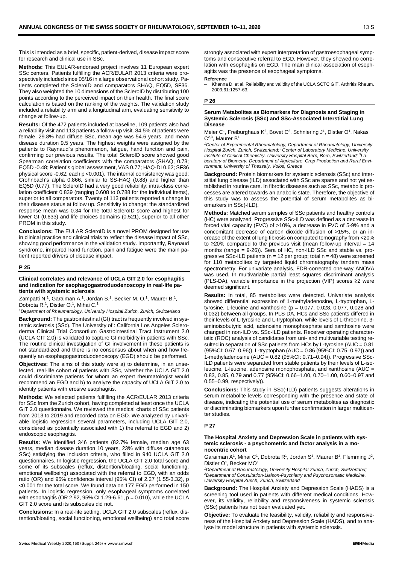This is intended as a brief, specific, patient-derived, disease impact score for research and clinical use in SSc.

**Methods:** This EULAR-endorsed project involves 11 European expert SSc centers. Patients fulfilling the ACR/EULAR 2013 criteria were prospectively included since 05/16 in a large observational cohort study. Patients completed the ScleroID and comparators SHAQ, EQ5D, SF36. They also weighted the 10 dimensions of the ScleroID by distributing 100 points according to the perceived impact on their health. The final score calculation is based on the ranking of the weights. The validation study included a reliability arm and a longitudinal arm, evaluating sensitivity to change at follow-up.

**Results:** Of the 472 patients included at baseline, 109 patients also had a reliability visit and 113 patients a follow-up visit. 84.5% of patients were female, 29.8% had diffuse SSc, mean age was 54.6 years, and mean disease duration 9.5 years. The highest weights were assigned by the patients to Raynaud`s phenomenon, fatigue, hand function and pain, confirming our previous results. The total ScleroID score showed good Spearman correlation coefficients with the comparators (SHAQ, 0.73; EQ5D -0.48; Patient's global assessment, VAS 0.77; HAQ-DI 0.62; SF36 physical score -0.62; each p <0.001). The internal consistency was good: Crohnbach's alpha 0.866, similar to SS-HAQ (0.88) and higher than EQ5D (0.77). The ScleroID had a very good reliability: intra-class correlation coefficient 0.839 (ranging 0.608 to 0.788 for the individual items), superior to all comparators. Twenty of 113 patients reported a change in their disease status at follow up. Sensitivity to change: the standardized response mean was 0.34 for the total ScleroID score and highest for lower GI (0.633) and life choices domains (0.521), superior to all other PROM in this study.

**Conclusions:** The EULAR ScleroID is a novel PROM designed for use in clinical practice and clinical trials to reflect the disease impact of SSc, showing good performance in the validation study. Importantly, Raynaud syndrome, impaired hand function, pain and fatigue were the main patient reported drivers of disease impact.

### **P 25**

### **Clinical correlates and relevance of UCLA GIT 2.0 for esophagitis and indication for esophagogastroduodenoscopy in real-life patients with systemic sclerosis**

Zampatti N.<sup>1</sup>, Garaiman A.<sup>1</sup>, Jordan S.<sup>1</sup>, Becker M. O.<sup>1</sup>, Maurer B.<sup>1</sup>, Dobrota R.<sup>1</sup>, Distler O.<sup>1</sup>, Mihai C.<sup>1</sup>

*1Department of Rheumatology, University Hospital Zurich, Zurich, Switzerland*

**Background:** The gastrointestinal (GI) tract is frequently involved in systemic sclerosis (SSc). The University of : California Los Angeles Scleroderma Clinical Trial Consortium Gastrointestinal Tract Instrument 2.0 (UCLA GIT 2.0) is validated to capture GI morbidity in patients with SSc. The routine clinical investigation of GI involvement in these patients is not standardized and there is no consensus about when and how frequently an esophagogastroduodenoscopy (EGD) should be performed.

**Objectives:** The aims of this study were a) to determine, in an unselected, real-life cohort of patients with SSc, whether the UCLA GIT 2.0 could discriminate patients for whom an expert rheumatologist would recommend an EGD and b) to analyze the capacity of UCLA GIT 2.0 to identify patients with erosive esophagitis.

**Methods:** We selected patients fulfilling the ACR/EULAR 2013 criteria for SSc from the Zurich cohort, having completed at least once the UCLA GIT 2.0 questionnaire. We reviewed the medical charts of SSc patients from 2013 to 2019 and recorded data on EGD. We analyzed by univariable logistic regression several parameters, including UCLA GIT 2.0, considered as potentially associated with 1) the referral to EGD and 2) endoscopic esophagitis.

**Results:** We identified 346 patients (82.7% female, median age 63 years, median disease duration 10 years, 23% with diffuse cutaneous SSc) satisfying the inclusion criteria, who filled in 940 UCLA GIT 2.0 questionnaires. In logistic regression, the UCLA GIT 2.0 total score and some of its subscales (reflux, distention/bloating, social functioning, emotional wellbeing) associated with the referral to EGD, with an odds ratio (OR) and 95% confidence interval (95% CI) of 2.27 (1.55-3.32), p <0.001 for the total score. We found data on 177 EGD performed in 150 patients. In logistic regression, only esophageal symptoms correlated with esophagitis (OR 2.92, 95% CI 1.29-6.61, p = 0.010), while the UCLA GIT 2.0 score and its subscales did not.

**Conclusions:** In a real-life setting, UCLA GIT 2.0 subscales (reflux, distention/bloating, social functioning, emotional wellbeing) and total score strongly associated with expert interpretation of gastroesophageal symptoms and consecutive referral to EGD. However, they showed no correlation with esophagitis on EGD. The main clinical association of esophagitis was the presence of esophageal symptoms.

**Reference**<br>— Khanna D, et al. Reliability and validity of the UCLA SCTC GIT. Arthritis Rheum. 2009;61:1257-63.

### **P 26**

### **Serum Metabolites as Biomarkers for Diagnosis and Staging in Systemic Sclerosis (SSc) and SSc-Associated Interstitial Lung Disease**

Meier C<sup>1</sup>, Freiburghaus K<sup>2</sup>, Bovet C<sup>2</sup>, Schniering J<sup>1</sup>, Distler O<sup>1</sup>, Nakas C<sup>2,3</sup>, Maurer B<sup>1</sup>

*1Center of Experimental Rheumatology, Department of Rheumatology, University Hospital Zurich, Zurich, Switzerland; 2Center of Laboratory Medicine, University Institute of Clinical Chemistry, University Hospital Bern, Bern, Switzerland; 3Laboratory of Biometry, Department of Agriculture, Crop Production and Rural Environment, University of Thessaly, Volos, Greece*

**Background:** Protein biomarkers for systemic sclerosis (SSc) and interstitial lung disease (ILD) associated with SSc are sparse and not yet established in routine care. In fibrotic diseases such as SSc, metabolic processes are altered towards an anabolic state. Therefore, the objective of this study was to assess the potential of serum metabolites as biomarkers in SSc(-ILD).

**Methods:** Matched serum samples of SSc patients and healthy controls (HC) were analyzed. Progressive SSc-ILD was defined as a decrease in forced vital capacity (FVC) of >10%, a decrease in FVC of 5-9% and a concomitant decrease of carbon dioxide diffusion of >15%, or an increase of the extent of lung fibrosis on computed tomography from <20% to ≥20% compared to the previous visit (mean follow-up interval = 14 months (range = 9-26)). Sera of HC, non-ILD SSc and stable vs. progressive SSc-ILD patients ( $n = 12$  per group; total  $n = 48$ ) were screened for 110 metabolites by targeted liquid chromatography tandem mass spectrometry. For univariate analysis, FDR-corrected one-way ANOVA was used. In multivariable partial least squares discriminant analysis (PLS-DA), variable importance in the projection (VIP) scores ≥2 were deemed significant.

**Results:** In total, 85 metabolites were detected. Univariate analysis showed differential expression of 1-methyladenosine, L-tryptophan, Ltyrosine, L-leucine and xanthosine (p = 0.077, 0.028, 0.077, 0.028 and 0.032) between all groups. In PLS-DA, HCs and SSc patients differed in their levels of L-tyrosine and L-tryptophan, while levels of L-threonine, 3 aminoisobutyric acid, adenosine monophosphate and xanthosine were changed in non-ILD vs. SSc-ILD patients. Receiver operating characteristic (ROC) analysis of candidates from uni- and multivariable testing resulted in separation of SSc patients from HCs by L-tyrosine (AUC = 0.81 (95%CI: 0.67–0.96)), L-tryptophan (AUC = 0.86 (95%CI: 0.75–0.97)) and 1-methyladenosine (AUC = 0.82 (95%CI: 0.71–0.94)). Progressive SSc-ILD patients were separated from stable patients by their levels of L-isoleucine, L-leucine, adenosine monophosphate, and xanthosine (AUC = 0.83, 0.85, 0.79 and 0.77 (95%CI: 0.66–1.00, 0.70–1.00, 0.60–0.97 and 0.55–0.99, respectively)).

**Conclusions:** This study in SSc(-ILD) patients suggests alterations in serum metabolite levels corresponding with the presence and state of disease, indicating the potential use of serum metabolites as diagnostic or discriminating biomarkers upon further confirmation in larger multicenter studies.

### **P 27**

### **The Hospital Anxiety and Depression Scale in patients with systemic sclerosis - a psychometric and factor analysis in a monocentric cohort**

Garaiman A<sup>1</sup>, Mihai C<sup>1</sup>, Dobrota R<sup>1</sup>, Jordan S<sup>1</sup>, Maurer B<sup>1</sup>, Flemming J<sup>2</sup>, Distler O<sup>1</sup>, Becker MO<sup>1</sup>

*1Department of Rheumatology, University Hospital Zurich, Zurich, Switzerland; 2 Department of Consultation-Liaison-Psychiatry and Psychosomatic Medicine, University Hospital Zurich, Zurich, Switzerland*

**Background:** The Hospital Anxiety and Depression Scale (HADS) is a screening tool used in patients with different medical conditions. However, its validity, reliability and responsiveness in systemic sclerosis (SSc) patients has not been evaluated yet.

**Objective:** To evaluate the feasibility, validity, reliability and responsiveness of the Hospital Anxiety and Depression Scale (HADS), and to analyse its model structure in patients with systemic sclerosis.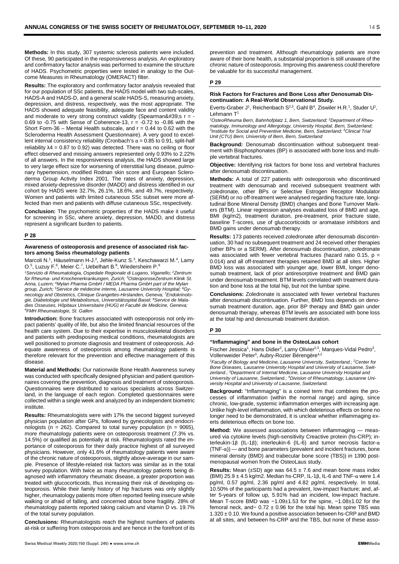**Methods:** In this study, 307 systemic sclerosis patients were included. Of these, 90 participated in the responsiveness analysis. An exploratory and confirmatory factor analysis was performed to examine the structure of HADS. Psychometric properties were tested in analogy to the Outcome Measures in Rheumatology (OMERACT) filter.

**Results:** The exploratory and confirmatory factor analysis revealed that for our population of SSc patients, the HADS model with two sub-scales, HADS-A and HADS-D, and a general scale HADS-S, measuring anxiety, depression, and distress, respectively, was the most appropriate. The HADS showed adequate feasibility, adequate face and content validity and moderate to very strong construct validity (Spearman's  $r =$ 0.69 to -0.75 with Sense of Coherence-13,  $r = -0.72$  to -0.86 with the Short Form-36 – Mental Health subscale, and  $r = 0.44$  to 0.62 with the Scleroderma Health Assessment Questionnaire). A very good to excellent internal consistency reliability (Cronbach's  $α = 0.85$  to 0.91, split-half reliability  $\lambda$ 4 = 0.87 to 0.92) was detected. There was no ceiling or floor effect observed and missing answers represented only 0.93% to 2.22% of all answers. In the responsiveness analysis, the HADS showed large to very large effect size for worsening of interstitial lung disease, pulmonary hypertension, modified Rodnan skin score and European Scleroderma Group Activity Index 2001. The rates of anxiety, depression, mixed anxiety-depressive disorder (MADD) and distress identified in our cohort by HADS were 32.7%, 26.1%, 18.6%, and 49.7%, respectively. Women and patients with limited cutaneous SSc subset were more affected than men and patients with diffuse cutaneous SSc, respectively.

**Conclusion:** The psychometric properties of the HADS make it useful for screening in SSc, where anxiety, depression, MADD, and distress represent a significant burden to patients.

### **P 28**

### **Awareness of osteoporosis and presence of associated risk factors among Swiss rheumatology patients**

Marcoli N.<sup>1</sup>, Häuselmann H-J.<sup>2</sup>, Jehle-Kunz S.<sup>3</sup>, Keschawarzi M.<sup>4</sup>, Lamy O.<sup>5</sup>, Luzuy F.<sup>6</sup>, Meier C.<sup>7</sup>, Uebelhart B.<sup>8</sup>, Wiedersheim P.<sup>9</sup>

*1Servizio di Rheumatologia, Ospedale Regionale di Lugano, Viganello; 2Zentrum für Rheuma- und Knochenerkrankungen, Zurich; 3OsteoporoseZentrum Klinik St. Anna, Luzern; 4Mylan Pharma GmbH / MEDA Pharma GmbH part of the Mylan group, Zurich; <sup>5</sup> Service de médecine interne, Lausanne University Hospital; <sup>6</sup> Gynecology and Obstetrics, Clinique Grangettes-Hirslanden, Geneva; <sup>7</sup> Endokrinologie, Diabetologie und Metabolismus, Universitätsspital Basel; 8Service de Maladies Osseuses, Hôpitaux Universitaire (HUG) et Faculté de Medicine, Geneva; 9FMH Rheumatologie, St. Gallen*

**Introduction:** Bone fractures associated with osteoporosis not only impact patients' quality of life, but also the limited financial resources of the health care system. Due to their expertise in musculoskeletal disorders and patients with predisposing medical conditions, rheumatologists are well positioned to promote diagnosis and treatment of osteoporosis. Adequate awareness of osteoporosis among rheumatology patients is therefore relevant for the prevention and effective management of this disease.

**Material and Methods:** Our nationwide Bone Health Awareness survey was conducted with specifically designed physician and patient questionnaires covering the prevention, diagnosis and treatment of osteoporosis. Questionnaires were distributed to various specialists across Switzerland, in the language of each region. Completed questionnaires were collected within a single week and analyzed by an independent biometric institute.

**Results:** Rheumatologists were with 17% the second biggest surveyed physician population after GPs, followed by gynecologists and endocrinologists ( $n = 262$ ). Compared to total survey population ( $n = 9065$ ), more rheumatology patients were on osteoporosis treatment (7.3% vs. 14.5%) or qualified as potentially at risk. Rheumatologists rated the importance of osteoporosis for their daily practice highest of all surveyed physicians. However, only 41.6% of rheumatology patients were aware of the chronic nature of osteoporosis, slightly above-average in our sample. Presence of lifestyle-related risk factors was similar as in the total survey population. With twice as many rheumatology patients being diagnosed with inflammatory rheumatic disease, a greater proportion was treated with glucocorticoids, thus increasing their risk of developing osteoporosis. While their family history of hip fractures was only slightly higher, rheumatology patients more often reported feeling insecure while walking or afraid of falling, and concerned about bone fragility. 28% of rheumatology patients reported taking calcium and vitamin D vs. 19.7% of the total survey population.

**Conclusions:** Rheumatologists reach the highest numbers of patients at-risk or suffering from osteoporosis and are hence in the forefront of its

prevention and treatment. Although rheumatology patients are more aware of their bone health, a substantial proportion is still unaware of the chronic nature of osteoporosis. Improving this awareness could therefore be valuable for its successful management.

### **P 29**

### **Risk Factors for Fractures and Bone Loss after Denosumab Discontinuation: A Real-World Observational Study.**

Everts-Graber J<sup>1</sup>, Reichenbach S<sup>2,3</sup>, Gahl B<sup>4</sup>, Ziswiler H.R.<sup>1</sup>, Studer U<sup>1</sup>, Lehmann T<sup>1</sup>

*1 OsteoRheuma Bern, Bahnhofplatz 1, Bern, Switzerland; <sup>2</sup> Department of Rheumatology, Immunology and Allergology, University Hospital, Bern, Switzerland; 3Institute for Social and Preventive Medicine, Bern, Switzerland; <sup>4</sup> Clinical Trial Unit (CTU) Bern, University of Bern, Bern, Switzerland*

**Background:** Denosumab discontinuation without subsequent treatment with Bisphosphonates (BP) is associated with bone loss and multiple vertebral fractures.

**Objective:** Identifying risk factors for bone loss and vertebral fractures after denosumab discontinuation.

**Methods:** A total of 227 patients with osteoporosis who discontinued treatment with denosumab and received subsequent treatment with zoledronate, other BPs or Selective Estrogen Receptor Modulator (SERM) or no off-treatment were analysed regarding fracture rate, longitudinal Bone Mineral Density (BMD) changes and Bone Turnover Markers (BTM). Linear regression analyses evaluated loss of BMD and age, BMI (kg/m2), treatment duration, pre-treatment, prior fracture state, baseline T-scores, use of glucocorticoids or aromatase inhibitors and BMD gains under denosumab therapy.

**Results:** 173 patients received zoledronate after denosumab discontinuation, 30 had no subsequent treatment and 24 received other therapies (other BPs or a SERM). After denosumab discontinuation, zoledronate was associated with fewer vertebral fractures (hazard ratio 0.15,  $p =$ 0.014) and all off-treatment therapies retained BMD at all sites. Higher BMD loss was associated with younger age, lower BMI, longer denosumab treatment, lack of prior antiresorptive treatment and BMD gain under denosumab treatment. BTM levels correlated with treatment duration and bone loss at the total hip, but not the lumbar spine.

**Conclusions:** Zoledronate is associated with fewer vertebral fractures after denosumab discontinuation. Further, BMD loss depends on denosumab treatment duration, age, prior BP therapy and BMD gain under denosumab therapy, whereas BTM levels are associated with bone loss at the total hip and denosumab treatment duration.

### **P 30**

### **"Inflammaging" and bone in the OsteoLaus cohort**

Fischer Jessica<sup>1</sup>, Hans Didier<sup>2</sup>, Lamy Olivier<sup>2,3</sup>, Marques-Vidal Pedro<sup>3</sup>, Vollenweider Peter<sup>3</sup>, Aubry-Rozier Bérengère<sup>4,2</sup>

*1Faculty of Biology and Medicine, Lausanne University, Switzerland.; 2Center for Bone Diseases, Lausanne University Hospital and University of Lausanne, Switzerland.; 3Department of Internal Medicine, Lausanne University Hospital and University of Lausanne, Switzerland.; 4Division of Rheumatology, Lausanne University Hospital and University of Lausanne, Switzerland.*

**Background:** "Inflammaging" is a coined term that combines the processes of inflammation (within the normal range) and aging, since chronic, low-grade, systemic inflammation emerges with increasing age. Unlike high-level inflammation, with which deleterious effects on bone no longer need to be demonstrated, it is unclear whether inflammaging exerts deleterious effects on bone too.

**Method:** We assessed associations between inflammaging — measured via cytokine levels (high-sensitivity Creactive protein (hs-CRP); interleukin-1β (IL-1β); interleukin-6 (IL-6) and tumor necrosis factor-α  $(TNF-\alpha)$  — and bone parameters (prevalent and incident fractures, bone mineral density (BMD) and trabecular bone score (TBS)) in 1390 postmenopausal women from the OsteoLaus study.

**Results:** Mean  $(\pm SD)$  age was  $64.5 \pm 7.6$  and mean bone mass index (BMI)  $25.9 \pm 4.5$  kg/m<sup>2</sup>. Median hs-CRP, IL-1β, IL-6 and TNF- $α$  were 1.4 pg/ml, 0.57 pg/ml, 2.36 pg/ml and 4.82 pg/ml, respectively. In total, 10.50% of the participants had a prevalent, low-impact fracture; and, after 5-years of follow up, 5.91% had an incident, low-impact fracture. Mean T-score BMD was −1.09±1.53 for the spine, −1.08±1.02 for the femoral neck, and− 0.72 ± 0.96 for the total hip. Mean spine TBS was 1.320 ± 0.10. We found a positive association between hs-CRP and BMD at all sites, and between hs-CRP and the TBS, but none of these asso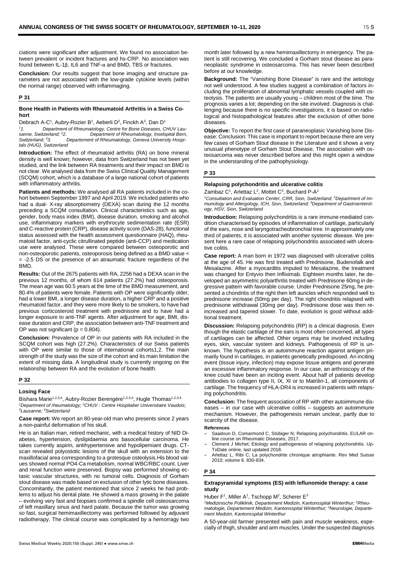ciations were significant after adjustment. We found no association between prevalent or incident fractures and hs-CRP. No association was found between IL-1β, IL6 and TNF-α and BMD, TBS or fractures.

**Conclusion:** Our results suggest that bone imaging and structure parameters are not associated with the low-grade cytokine levels (within the normal range) observed with inflammaging.

### **P 31**

### **Bone Health in Patients with Rheumatoid Arthritis in a Swiss Cohort**

Debrach A-C<sup>1</sup>, Aubry-Rozier B<sup>1</sup>, Aeberli D<sup>2</sup>, Finckh A<sup>3</sup>, Dan D<sup>1</sup>

*11. Department of Rheumatology, Centre for Bone Diseases, CHUV Lausanne, Switzerland; 22. Department of Rheumatology, Inselspital Bern, Switzerland; 33. Departement of Rheumatology, Geneva University Hospitals (HUG), Switzerland*

**Introduction:** The effect of rheumatoid arthritis (RA) on bone mineral density is well known; however, data from Switzerland has not been yet studied, and the link between RA treatments and their impact on BMD is not clear. We analysed data from the Swiss Clinical Quality Management (SCQM) cohort, which is a database of a large national cohort of patients with inflammatory arthritis.

**Patients and methods:** We analysed all RA patients included in the cohort between September 1997 and April 2019. We included patients who had a dual- X-ray absorptiometry (DEXA) scan during the 12 months preceding a SCQM consultation. Clinical characteristics such as age, gender, body mass index (BMI), disease duration, smoking and alcohol use, inflammatory markers with erythrocyte sedimentation rate (ESR) and C-reactive protein (CRP), disease activity score (DAS-28), functional status assessed with the health assessment questionnaire (HAQ), rheumatoid factor, anti-cyclic citrullinated peptide (anti-CCP) and medication use were analysed. These were compared between osteoporotic and non-osteoporotic patients, osteoporosis being defined as a BMD value < = -2.5 DS or the presence of an atraumatic fracture regardless of the **BMD** 

**Results:** Out of the 2675 patients with RA, 2256 had a DEXA scan in the previous 12 months, of whom 614 patients (27.2%) had osteoporosis. The mean age was 60.5 years at the time of the BMD measurement, and 80.4% of patients were female. Patients with OP were significantly older, had a lower BMI, a longer disease duration, a higher CRP and a positive rheumatoid factor, and they were more likely to be smokers, to have had previous corticosteroid treatment with prednisone and to have had a longer exposure to anti-TNF agents. After adjustment for age, BMI, disease duration and CRP, the association between anti-TNF treatment and OP was not significant ( $p = 0.804$ ).

**Conclusion:** Prevalence of OP in our patients with RA included in the SCQM cohort was high (27.2%). Characteristics of our Swiss patients with OP were similar to those of international cohorts1,2. The main strength of the study was the size of the cohort and its main limitation the extent of missing data. A longitudinal study is currently ongoing on the relationship between RA and the evolution of bone health.

### **P 32**

### **Losing Face**

Bishara Marie<sup>1,2,3,4</sup>, Aubry-Rozier Berengère<sup>1,2,3,4</sup>, Hugle Thomas<sup>1,2,3,4</sup> *1Department of rheumatology; 2CHUV : Centre Hospitalier Universitaire Vaudois; 3Lausanne; 4Switzerland*

**Case report:** We report an 80-year-old man who presents since 2 years a non-painful deformation of his skull.

He is an Italian man, retired mechanic, with a medical history of NID Diabetes, hypertension, dyslipidaemia ans basocellular carcinoma. He takes currently aspirin, antihypertensive and hypolipemiant drugs. CTscan revealed polyostotic lesions of the skull with an extension to the maxillofacial area corresponding to a grotesque osteolysis.His blood values showed normal PO4-Ca metabolism, normal WBC/RBC count. Liver and renal function were preserved. Biopsy was performed showing ectasic vascular structures, with no tumoral cells. Diagnosis of Gorham stout disease was made based on exclusion of other lytic bone diseases. Concomitantly, the patient mentioned that since 2 weeks he had problems to adjust his dental plate. He showed a mass growing in the palate – evolving very fast and biopsies confirmed a spindle cell osteosarcoma of left maxillary sinus and hard palate. Because the tumor was growing so fast, surgical hemimaxillectomy was performed followed by adjuvant radiotherapy. The clinical course was complicated by a hemorragy two

month later followed by a new hemimaxillectomy in emergency. The patient is still recovering. We concluded a Gorham stout disease as paraneoplastic syndrome in osteosarcoma. This has never been described before at our knowledge.

**Background:** The "Vanishing Bone Disease" is rare and the aetiology not well understood. A few studies suggest a combination of factors including the proliferation of abnormal lymphatic vessels coupled with osteolysis. The patients are usually young – children most of the time. The prognosis varies a lot; depending on the site involved. Diagnosis is challenging because there is no specific investigations, it is based on radiological and histopathological features after the exclusion of other bone diseases.

**Objective:** To report the first case of paraneoplasic Vanishing bone Disease: Conclusion: This case is important to report because there are very few cases of Gorham Stout disease in the Literature and it shows a very unusual phenotype of Gorham Stout Disease. The association with osteosarcoma was never described before and this might open a window in the understanding of the pathophysiology.

### **P 33**

### **Relapsing polychondritis and ulcerative colitis**

Zambaz C<sup>1</sup>, Arlettaz L<sup>2</sup>, Mottet C<sup>3</sup>, Buchard P-A<sup>1</sup>

*1Consultation and Evaluation Center, CRR, Sion, Switzerland; 2Department of Immunology and Allergology, ICH, Sion, Switzerland; <sup>3</sup> Department of Gastroenterology, HSV, Sion, Switzerland*

**Introduction:** Relapsing polychondritis is a rare immune-mediated condition characterised by episodes of inflammation of cartilage, particularly of the ears, nose and laryngotracheobronchial tree. In approximately one third of patients, it is associated with another systemic disease. We present here a rare case of relapsing polychondritis associated with ulcerative colitis.

**Case report:** A man born in 1972 was diagnosed with ulcerative colitis at the age of 45. He was first treated with Prednisone, Budenofalk and Mesalazine. After a myocarditis imputed to Mesalazine, the treatment was changed for Entyvio then Infliximab. Eighteen months later, he developed an asymmetric polyarthritis treated with Prednisone 60mg in degressive pattern with favorable course. Under Prednisone 25mg, he presented a chondritis of the right then left auricles which responded well to prednisone increase (50mg per day). The right chondritis relapsed with prednisone withdrawal (30mg per day). Prednisone dose was then reincreased and tapered slower. To date, evolution is good without additional treatment.

**Discussion:** Relapsing polychondritis (RP) is a clinical diagnosis. Even though the elastic cartilage of the ears is most often concerned, all types of cartilages can be affected. Other organs may be involved including eyes, skin, vascular system and kidneys. Pathogenesis of RP is unknown. The hypothesis is an autoimmune reaction against antigen primarily found in cartilages, in patients genetically predisposed. An inciting event (tissue injury, infection) may expose tissue antigens and generate an excessive inflammatory response. In our case, an arthroscopy of the knee could have been an inciting event. About half of patients develop antibodies to collagen type II, IX, XI or to Matrilin-1, all components of cartilage. The frequency of HLA-DR4 is increased in patients with relapsing polychondritis.

**Conclusion:** The frequent association of RP with other autoimmune diseases – in our case with ulcerative colitis – suggests an autoimmune mechanism. However, the pathogenesis remain unclear, partly due to scarcity of the disease.

### **References**

- Saadoun D, Comarmond C, Stübiger N; Relapsing polychondritis. EULAR online course on Rheumatic Diseases, 2017.
- ‒ Clement J Michet; Etiology and pathogenesis of relapsing polychondritis. Up-ToDate online, last updated 2018.
- Arlettaz L, Ribi C; La polychondrite chronique atrophiante. Rev Med Suisse 2010; volume 6. 830-834.

### **P 34**

### **Extrapyramidal symptoms (ES) with leflunomide therapy: a case study**

Huber  $F^1$ , Miller A<sup>1</sup>, Tschopp M<sup>2</sup>, Scherer E<sup>3</sup>

*1 Medizinische Poliklinik, Departement Medizin, Kantonsspital Winterthur; 2Rheumatologie, Departement Medizin, Kantonsspital Winterthur; 3Neurologie, Departement Medizin, Kantonsspital Winterthur*

A 50-year-old farmer presented with pain and muscle weakness, especially of thigh, shoulder and arm muscles. Under the suspected diagnosis